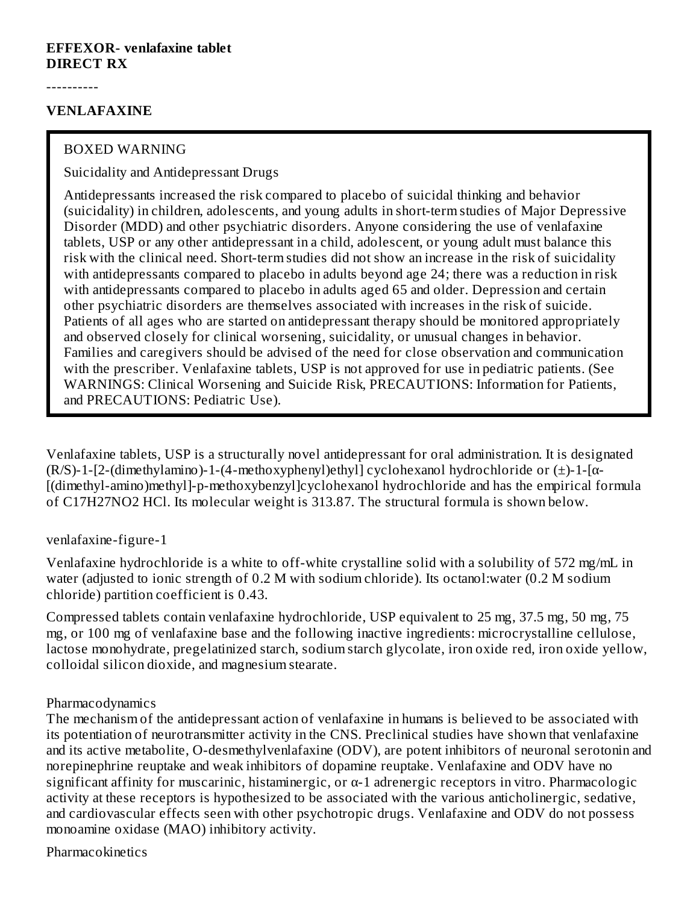#### **EFFEXOR- venlafaxine tablet DIRECT RX**

----------

#### **VENLAFAXINE**

#### BOXED WARNING

Suicidality and Antidepressant Drugs

Antidepressants increased the risk compared to placebo of suicidal thinking and behavior (suicidality) in children, adolescents, and young adults in short-term studies of Major Depressive Disorder (MDD) and other psychiatric disorders. Anyone considering the use of venlafaxine tablets, USP or any other antidepressant in a child, adolescent, or young adult must balance this risk with the clinical need. Short-term studies did not show an increase in the risk of suicidality with antidepressants compared to placebo in adults beyond age 24; there was a reduction in risk with antidepressants compared to placebo in adults aged 65 and older. Depression and certain other psychiatric disorders are themselves associated with increases in the risk of suicide. Patients of all ages who are started on antidepressant therapy should be monitored appropriately and observed closely for clinical worsening, suicidality, or unusual changes in behavior. Families and caregivers should be advised of the need for close observation and communication with the prescriber. Venlafaxine tablets, USP is not approved for use in pediatric patients. (See WARNINGS: Clinical Worsening and Suicide Risk, PRECAUTIONS: Information for Patients, and PRECAUTIONS: Pediatric Use).

Venlafaxine tablets, USP is a structurally novel antidepressant for oral administration. It is designated (R/S)-1-[2-(dimethylamino)-1-(4-methoxyphenyl)ethyl] cyclohexanol hydrochloride or (±)-1-[α- [(dimethyl-amino)methyl]-p-methoxybenzyl]cyclohexanol hydrochloride and has the empirical formula of C17H27NO2 HCl. Its molecular weight is 313.87. The structural formula is shown below.

#### venlafaxine-figure-1

Venlafaxine hydrochloride is a white to off-white crystalline solid with a solubility of 572 mg/mL in water (adjusted to ionic strength of 0.2 M with sodium chloride). Its octanol:water (0.2 M sodium chloride) partition coefficient is 0.43.

Compressed tablets contain venlafaxine hydrochloride, USP equivalent to 25 mg, 37.5 mg, 50 mg, 75 mg, or 100 mg of venlafaxine base and the following inactive ingredients: microcrystalline cellulose, lactose monohydrate, pregelatinized starch, sodium starch glycolate, iron oxide red, iron oxide yellow, colloidal silicon dioxide, and magnesium stearate.

#### Pharmacodynamics

The mechanism of the antidepressant action of venlafaxine in humans is believed to be associated with its potentiation of neurotransmitter activity in the CNS. Preclinical studies have shown that venlafaxine and its active metabolite, O-desmethylvenlafaxine (ODV), are potent inhibitors of neuronal serotonin and norepinephrine reuptake and weak inhibitors of dopamine reuptake. Venlafaxine and ODV have no significant affinity for muscarinic, histaminergic, or α-1 adrenergic receptors in vitro. Pharmacologic activity at these receptors is hypothesized to be associated with the various anticholinergic, sedative, and cardiovascular effects seen with other psychotropic drugs. Venlafaxine and ODV do not possess monoamine oxidase (MAO) inhibitory activity.

Pharmacokinetics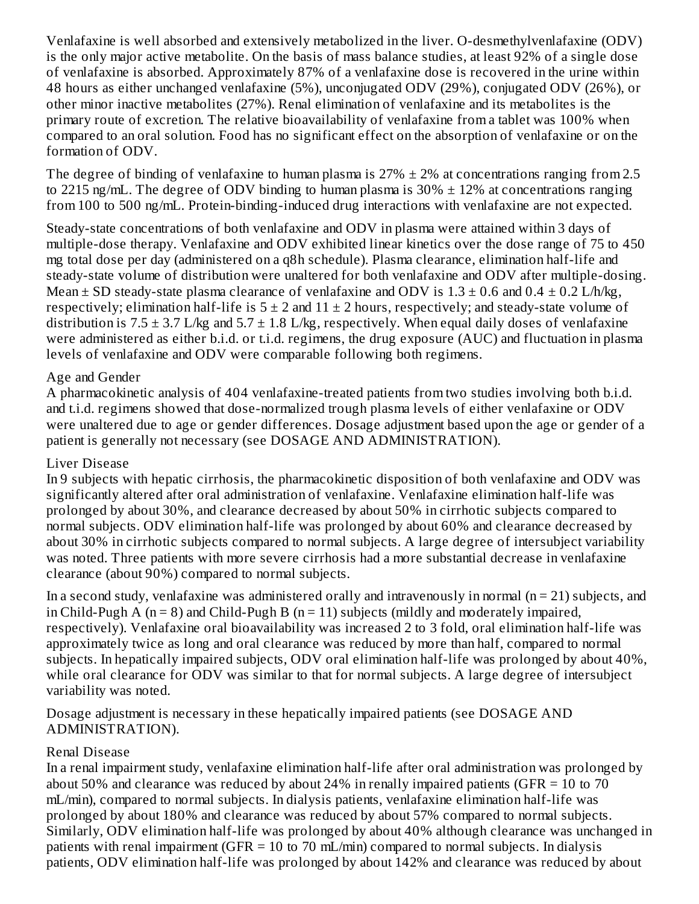Venlafaxine is well absorbed and extensively metabolized in the liver. O-desmethylvenlafaxine (ODV) is the only major active metabolite. On the basis of mass balance studies, at least 92% of a single dose of venlafaxine is absorbed. Approximately 87% of a venlafaxine dose is recovered in the urine within 48 hours as either unchanged venlafaxine (5%), unconjugated ODV (29%), conjugated ODV (26%), or other minor inactive metabolites (27%). Renal elimination of venlafaxine and its metabolites is the primary route of excretion. The relative bioavailability of venlafaxine from a tablet was 100% when compared to an oral solution. Food has no significant effect on the absorption of venlafaxine or on the formation of ODV.

The degree of binding of venlafaxine to human plasma is  $27% \pm 2%$  at concentrations ranging from 2.5 to 2215 ng/mL. The degree of ODV binding to human plasma is 30%  $\pm$  12% at concentrations ranging from 100 to 500 ng/mL. Protein-binding-induced drug interactions with venlafaxine are not expected.

Steady-state concentrations of both venlafaxine and ODV in plasma were attained within 3 days of multiple-dose therapy. Venlafaxine and ODV exhibited linear kinetics over the dose range of 75 to 450 mg total dose per day (administered on a q8h schedule). Plasma clearance, elimination half-life and steady-state volume of distribution were unaltered for both venlafaxine and ODV after multiple-dosing. Mean  $\pm$  SD steady-state plasma clearance of venlafaxine and ODV is 1.3  $\pm$  0.6 and 0.4  $\pm$  0.2 L/h/kg, respectively; elimination half-life is  $5 \pm 2$  and  $11 \pm 2$  hours, respectively; and steady-state volume of distribution is 7.5  $\pm$  3.7 L/kg and 5.7  $\pm$  1.8 L/kg, respectively. When equal daily doses of venlafaxine were administered as either b.i.d. or t.i.d. regimens, the drug exposure (AUC) and fluctuation in plasma levels of venlafaxine and ODV were comparable following both regimens.

## Age and Gender

A pharmacokinetic analysis of 404 venlafaxine-treated patients from two studies involving both b.i.d. and t.i.d. regimens showed that dose-normalized trough plasma levels of either venlafaxine or ODV were unaltered due to age or gender differences. Dosage adjustment based upon the age or gender of a patient is generally not necessary (see DOSAGE AND ADMINISTRATION).

## Liver Disease

In 9 subjects with hepatic cirrhosis, the pharmacokinetic disposition of both venlafaxine and ODV was significantly altered after oral administration of venlafaxine. Venlafaxine elimination half-life was prolonged by about 30%, and clearance decreased by about 50% in cirrhotic subjects compared to normal subjects. ODV elimination half-life was prolonged by about 60% and clearance decreased by about 30% in cirrhotic subjects compared to normal subjects. A large degree of intersubject variability was noted. Three patients with more severe cirrhosis had a more substantial decrease in venlafaxine clearance (about 90%) compared to normal subjects.

In a second study, venlafaxine was administered orally and intravenously in normal ( $n = 21$ ) subjects, and in Child-Pugh A ( $n = 8$ ) and Child-Pugh B ( $n = 11$ ) subjects (mildly and moderately impaired, respectively). Venlafaxine oral bioavailability was increased 2 to 3 fold, oral elimination half-life was approximately twice as long and oral clearance was reduced by more than half, compared to normal subjects. In hepatically impaired subjects, ODV oral elimination half-life was prolonged by about 40%, while oral clearance for ODV was similar to that for normal subjects. A large degree of intersubject variability was noted.

Dosage adjustment is necessary in these hepatically impaired patients (see DOSAGE AND ADMINISTRATION).

## Renal Disease

In a renal impairment study, venlafaxine elimination half-life after oral administration was prolonged by about 50% and clearance was reduced by about 24% in renally impaired patients (GFR = 10 to 70 mL/min), compared to normal subjects. In dialysis patients, venlafaxine elimination half-life was prolonged by about 180% and clearance was reduced by about 57% compared to normal subjects. Similarly, ODV elimination half-life was prolonged by about 40% although clearance was unchanged in patients with renal impairment (GFR = 10 to 70 mL/min) compared to normal subjects. In dialysis patients, ODV elimination half-life was prolonged by about 142% and clearance was reduced by about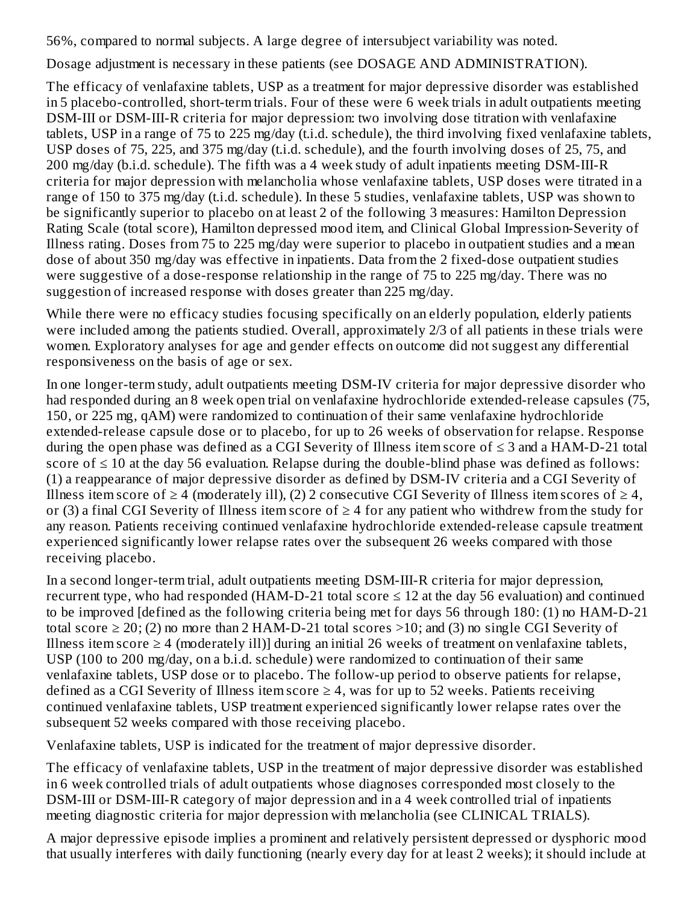56%, compared to normal subjects. A large degree of intersubject variability was noted.

Dosage adjustment is necessary in these patients (see DOSAGE AND ADMINISTRATION).

The efficacy of venlafaxine tablets, USP as a treatment for major depressive disorder was established in 5 placebo-controlled, short-term trials. Four of these were 6 week trials in adult outpatients meeting DSM-III or DSM-III-R criteria for major depression: two involving dose titration with venlafaxine tablets, USP in a range of 75 to 225 mg/day (t.i.d. schedule), the third involving fixed venlafaxine tablets, USP doses of 75, 225, and 375 mg/day (t.i.d. schedule), and the fourth involving doses of 25, 75, and 200 mg/day (b.i.d. schedule). The fifth was a 4 week study of adult inpatients meeting DSM-III-R criteria for major depression with melancholia whose venlafaxine tablets, USP doses were titrated in a range of 150 to 375 mg/day (t.i.d. schedule). In these 5 studies, venlafaxine tablets, USP was shown to be significantly superior to placebo on at least 2 of the following 3 measures: Hamilton Depression Rating Scale (total score), Hamilton depressed mood item, and Clinical Global Impression-Severity of Illness rating. Doses from 75 to 225 mg/day were superior to placebo in outpatient studies and a mean dose of about 350 mg/day was effective in inpatients. Data from the 2 fixed-dose outpatient studies were suggestive of a dose-response relationship in the range of 75 to 225 mg/day. There was no suggestion of increased response with doses greater than 225 mg/day.

While there were no efficacy studies focusing specifically on an elderly population, elderly patients were included among the patients studied. Overall, approximately 2/3 of all patients in these trials were women. Exploratory analyses for age and gender effects on outcome did not suggest any differential responsiveness on the basis of age or sex.

In one longer-term study, adult outpatients meeting DSM-IV criteria for major depressive disorder who had responded during an 8 week open trial on venlafaxine hydrochloride extended-release capsules (75, 150, or 225 mg, qAM) were randomized to continuation of their same venlafaxine hydrochloride extended-release capsule dose or to placebo, for up to 26 weeks of observation for relapse. Response during the open phase was defined as a CGI Severity of Illness item score of  $\leq$  3 and a HAM-D-21 total score of ≤ 10 at the day 56 evaluation. Relapse during the double-blind phase was defined as follows: (1) a reappearance of major depressive disorder as defined by DSM-IV criteria and a CGI Severity of Illness item score of  $\geq 4$  (moderately ill), (2) 2 consecutive CGI Severity of Illness item scores of  $\geq 4$ , or (3) a final CGI Severity of Illness item score of  $\geq$  4 for any patient who withdrew from the study for any reason. Patients receiving continued venlafaxine hydrochloride extended-release capsule treatment experienced significantly lower relapse rates over the subsequent 26 weeks compared with those receiving placebo.

In a second longer-term trial, adult outpatients meeting DSM-III-R criteria for major depression, recurrent type, who had responded (HAM-D-21 total score  $\leq$  12 at the day 56 evaluation) and continued to be improved [defined as the following criteria being met for days 56 through 180: (1) no HAM-D-21 total score  $\geq 20$ ; (2) no more than 2 HAM-D-21 total scores  $>10$ ; and (3) no single CGI Severity of Illness item score  $\geq 4$  (moderately ill)] during an initial 26 weeks of treatment on venlafaxine tablets, USP (100 to 200 mg/day, on a b.i.d. schedule) were randomized to continuation of their same venlafaxine tablets, USP dose or to placebo. The follow-up period to observe patients for relapse, defined as a CGI Severity of Illness item score  $\geq 4$ , was for up to 52 weeks. Patients receiving continued venlafaxine tablets, USP treatment experienced significantly lower relapse rates over the subsequent 52 weeks compared with those receiving placebo.

Venlafaxine tablets, USP is indicated for the treatment of major depressive disorder.

The efficacy of venlafaxine tablets, USP in the treatment of major depressive disorder was established in 6 week controlled trials of adult outpatients whose diagnoses corresponded most closely to the DSM-III or DSM-III-R category of major depression and in a 4 week controlled trial of inpatients meeting diagnostic criteria for major depression with melancholia (see CLINICAL TRIALS).

A major depressive episode implies a prominent and relatively persistent depressed or dysphoric mood that usually interferes with daily functioning (nearly every day for at least 2 weeks); it should include at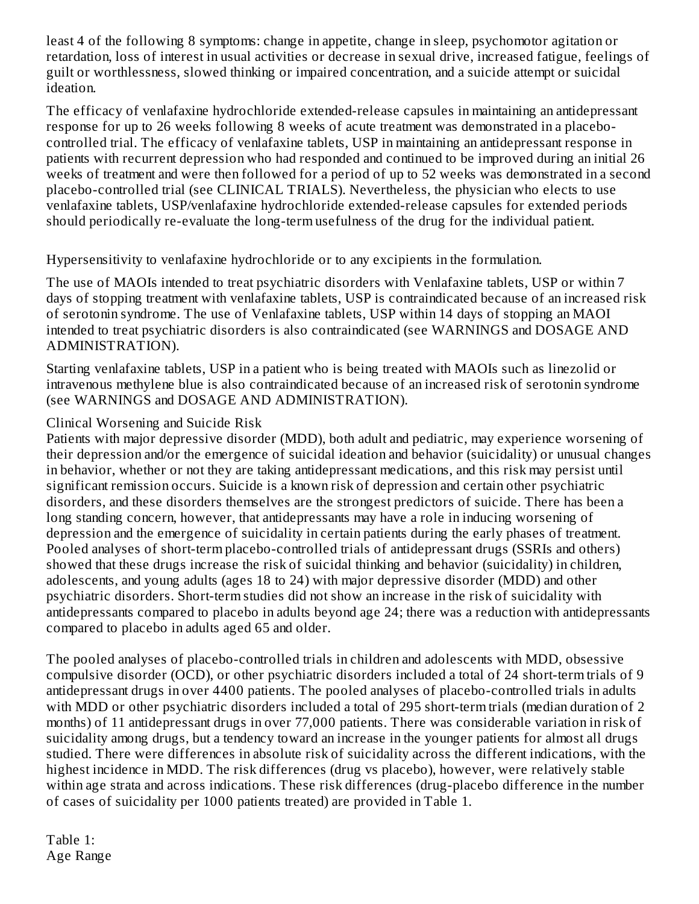least 4 of the following 8 symptoms: change in appetite, change in sleep, psychomotor agitation or retardation, loss of interest in usual activities or decrease in sexual drive, increased fatigue, feelings of guilt or worthlessness, slowed thinking or impaired concentration, and a suicide attempt or suicidal ideation.

The efficacy of venlafaxine hydrochloride extended-release capsules in maintaining an antidepressant response for up to 26 weeks following 8 weeks of acute treatment was demonstrated in a placebocontrolled trial. The efficacy of venlafaxine tablets, USP in maintaining an antidepressant response in patients with recurrent depression who had responded and continued to be improved during an initial 26 weeks of treatment and were then followed for a period of up to 52 weeks was demonstrated in a second placebo-controlled trial (see CLINICAL TRIALS). Nevertheless, the physician who elects to use venlafaxine tablets, USP/venlafaxine hydrochloride extended-release capsules for extended periods should periodically re-evaluate the long-term usefulness of the drug for the individual patient.

#### Hypersensitivity to venlafaxine hydrochloride or to any excipients in the formulation.

The use of MAOIs intended to treat psychiatric disorders with Venlafaxine tablets, USP or within 7 days of stopping treatment with venlafaxine tablets, USP is contraindicated because of an increased risk of serotonin syndrome. The use of Venlafaxine tablets, USP within 14 days of stopping an MAOI intended to treat psychiatric disorders is also contraindicated (see WARNINGS and DOSAGE AND ADMINISTRATION).

Starting venlafaxine tablets, USP in a patient who is being treated with MAOIs such as linezolid or intravenous methylene blue is also contraindicated because of an increased risk of serotonin syndrome (see WARNINGS and DOSAGE AND ADMINISTRATION).

## Clinical Worsening and Suicide Risk

Patients with major depressive disorder (MDD), both adult and pediatric, may experience worsening of their depression and/or the emergence of suicidal ideation and behavior (suicidality) or unusual changes in behavior, whether or not they are taking antidepressant medications, and this risk may persist until significant remission occurs. Suicide is a known risk of depression and certain other psychiatric disorders, and these disorders themselves are the strongest predictors of suicide. There has been a long standing concern, however, that antidepressants may have a role in inducing worsening of depression and the emergence of suicidality in certain patients during the early phases of treatment. Pooled analyses of short-term placebo-controlled trials of antidepressant drugs (SSRIs and others) showed that these drugs increase the risk of suicidal thinking and behavior (suicidality) in children, adolescents, and young adults (ages 18 to 24) with major depressive disorder (MDD) and other psychiatric disorders. Short-term studies did not show an increase in the risk of suicidality with antidepressants compared to placebo in adults beyond age 24; there was a reduction with antidepressants compared to placebo in adults aged 65 and older.

The pooled analyses of placebo-controlled trials in children and adolescents with MDD, obsessive compulsive disorder (OCD), or other psychiatric disorders included a total of 24 short-term trials of 9 antidepressant drugs in over 4400 patients. The pooled analyses of placebo-controlled trials in adults with MDD or other psychiatric disorders included a total of 295 short-term trials (median duration of 2 months) of 11 antidepressant drugs in over 77,000 patients. There was considerable variation in risk of suicidality among drugs, but a tendency toward an increase in the younger patients for almost all drugs studied. There were differences in absolute risk of suicidality across the different indications, with the highest incidence in MDD. The risk differences (drug vs placebo), however, were relatively stable within age strata and across indications. These risk differences (drug-placebo difference in the number of cases of suicidality per 1000 patients treated) are provided in Table 1.

Table 1: Age Range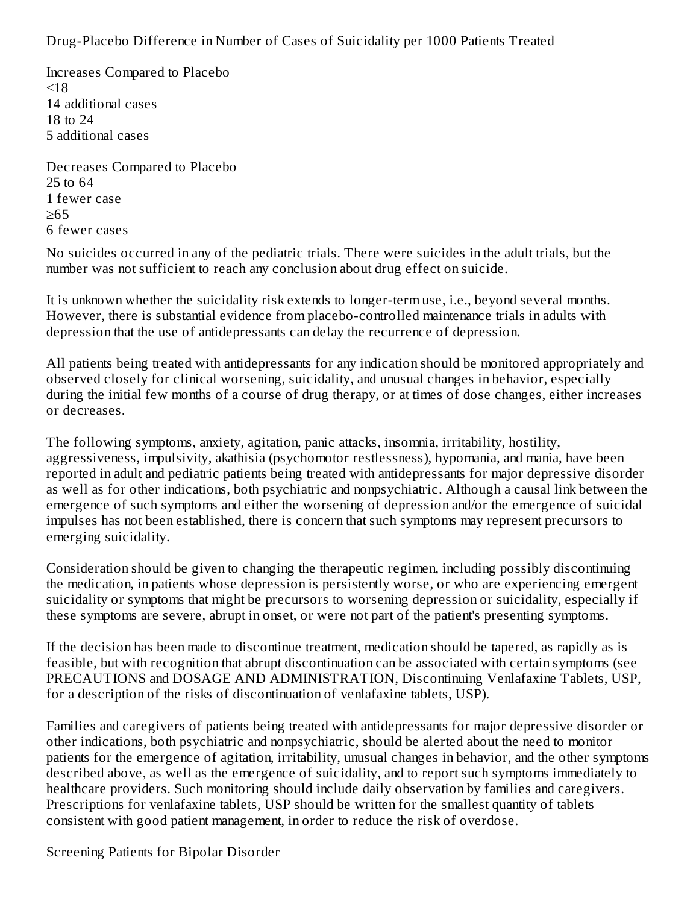Drug-Placebo Difference in Number of Cases of Suicidality per 1000 Patients Treated

Increases Compared to Placebo  $< 18$ 14 additional cases 18 to 24 5 additional cases

Decreases Compared to Placebo 25 to 64 1 fewer case ≥65 6 fewer cases

No suicides occurred in any of the pediatric trials. There were suicides in the adult trials, but the number was not sufficient to reach any conclusion about drug effect on suicide.

It is unknown whether the suicidality risk extends to longer-term use, i.e., beyond several months. However, there is substantial evidence from placebo-controlled maintenance trials in adults with depression that the use of antidepressants can delay the recurrence of depression.

All patients being treated with antidepressants for any indication should be monitored appropriately and observed closely for clinical worsening, suicidality, and unusual changes in behavior, especially during the initial few months of a course of drug therapy, or at times of dose changes, either increases or decreases.

The following symptoms, anxiety, agitation, panic attacks, insomnia, irritability, hostility, aggressiveness, impulsivity, akathisia (psychomotor restlessness), hypomania, and mania, have been reported in adult and pediatric patients being treated with antidepressants for major depressive disorder as well as for other indications, both psychiatric and nonpsychiatric. Although a causal link between the emergence of such symptoms and either the worsening of depression and/or the emergence of suicidal impulses has not been established, there is concern that such symptoms may represent precursors to emerging suicidality.

Consideration should be given to changing the therapeutic regimen, including possibly discontinuing the medication, in patients whose depression is persistently worse, or who are experiencing emergent suicidality or symptoms that might be precursors to worsening depression or suicidality, especially if these symptoms are severe, abrupt in onset, or were not part of the patient's presenting symptoms.

If the decision has been made to discontinue treatment, medication should be tapered, as rapidly as is feasible, but with recognition that abrupt discontinuation can be associated with certain symptoms (see PRECAUTIONS and DOSAGE AND ADMINISTRATION, Discontinuing Venlafaxine Tablets, USP, for a description of the risks of discontinuation of venlafaxine tablets, USP).

Families and caregivers of patients being treated with antidepressants for major depressive disorder or other indications, both psychiatric and nonpsychiatric, should be alerted about the need to monitor patients for the emergence of agitation, irritability, unusual changes in behavior, and the other symptoms described above, as well as the emergence of suicidality, and to report such symptoms immediately to healthcare providers. Such monitoring should include daily observation by families and caregivers. Prescriptions for venlafaxine tablets, USP should be written for the smallest quantity of tablets consistent with good patient management, in order to reduce the risk of overdose.

Screening Patients for Bipolar Disorder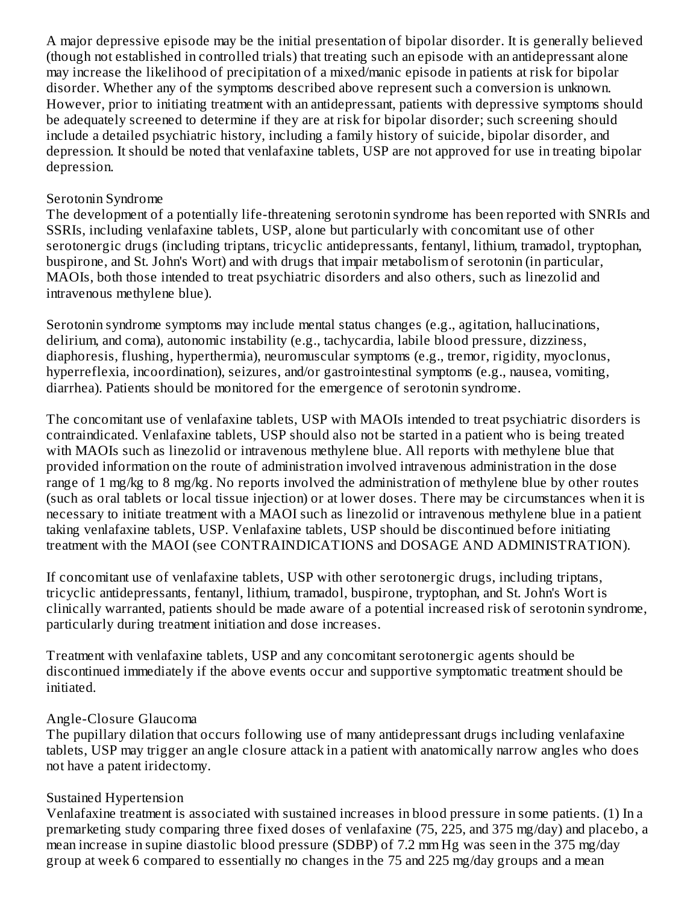A major depressive episode may be the initial presentation of bipolar disorder. It is generally believed (though not established in controlled trials) that treating such an episode with an antidepressant alone may increase the likelihood of precipitation of a mixed/manic episode in patients at risk for bipolar disorder. Whether any of the symptoms described above represent such a conversion is unknown. However, prior to initiating treatment with an antidepressant, patients with depressive symptoms should be adequately screened to determine if they are at risk for bipolar disorder; such screening should include a detailed psychiatric history, including a family history of suicide, bipolar disorder, and depression. It should be noted that venlafaxine tablets, USP are not approved for use in treating bipolar depression.

#### Serotonin Syndrome

The development of a potentially life-threatening serotonin syndrome has been reported with SNRIs and SSRIs, including venlafaxine tablets, USP, alone but particularly with concomitant use of other serotonergic drugs (including triptans, tricyclic antidepressants, fentanyl, lithium, tramadol, tryptophan, buspirone, and St. John's Wort) and with drugs that impair metabolism of serotonin (in particular, MAOIs, both those intended to treat psychiatric disorders and also others, such as linezolid and intravenous methylene blue).

Serotonin syndrome symptoms may include mental status changes (e.g., agitation, hallucinations, delirium, and coma), autonomic instability (e.g., tachycardia, labile blood pressure, dizziness, diaphoresis, flushing, hyperthermia), neuromuscular symptoms (e.g., tremor, rigidity, myoclonus, hyperreflexia, incoordination), seizures, and/or gastrointestinal symptoms (e.g., nausea, vomiting, diarrhea). Patients should be monitored for the emergence of serotonin syndrome.

The concomitant use of venlafaxine tablets, USP with MAOIs intended to treat psychiatric disorders is contraindicated. Venlafaxine tablets, USP should also not be started in a patient who is being treated with MAOIs such as linezolid or intravenous methylene blue. All reports with methylene blue that provided information on the route of administration involved intravenous administration in the dose range of 1 mg/kg to 8 mg/kg. No reports involved the administration of methylene blue by other routes (such as oral tablets or local tissue injection) or at lower doses. There may be circumstances when it is necessary to initiate treatment with a MAOI such as linezolid or intravenous methylene blue in a patient taking venlafaxine tablets, USP. Venlafaxine tablets, USP should be discontinued before initiating treatment with the MAOI (see CONTRAINDICATIONS and DOSAGE AND ADMINISTRATION).

If concomitant use of venlafaxine tablets, USP with other serotonergic drugs, including triptans, tricyclic antidepressants, fentanyl, lithium, tramadol, buspirone, tryptophan, and St. John's Wort is clinically warranted, patients should be made aware of a potential increased risk of serotonin syndrome, particularly during treatment initiation and dose increases.

Treatment with venlafaxine tablets, USP and any concomitant serotonergic agents should be discontinued immediately if the above events occur and supportive symptomatic treatment should be initiated.

#### Angle-Closure Glaucoma

The pupillary dilation that occurs following use of many antidepressant drugs including venlafaxine tablets, USP may trigger an angle closure attack in a patient with anatomically narrow angles who does not have a patent iridectomy.

#### Sustained Hypertension

Venlafaxine treatment is associated with sustained increases in blood pressure in some patients. (1) In a premarketing study comparing three fixed doses of venlafaxine (75, 225, and 375 mg/day) and placebo, a mean increase in supine diastolic blood pressure (SDBP) of 7.2 mm Hg was seen in the 375 mg/day group at week 6 compared to essentially no changes in the 75 and 225 mg/day groups and a mean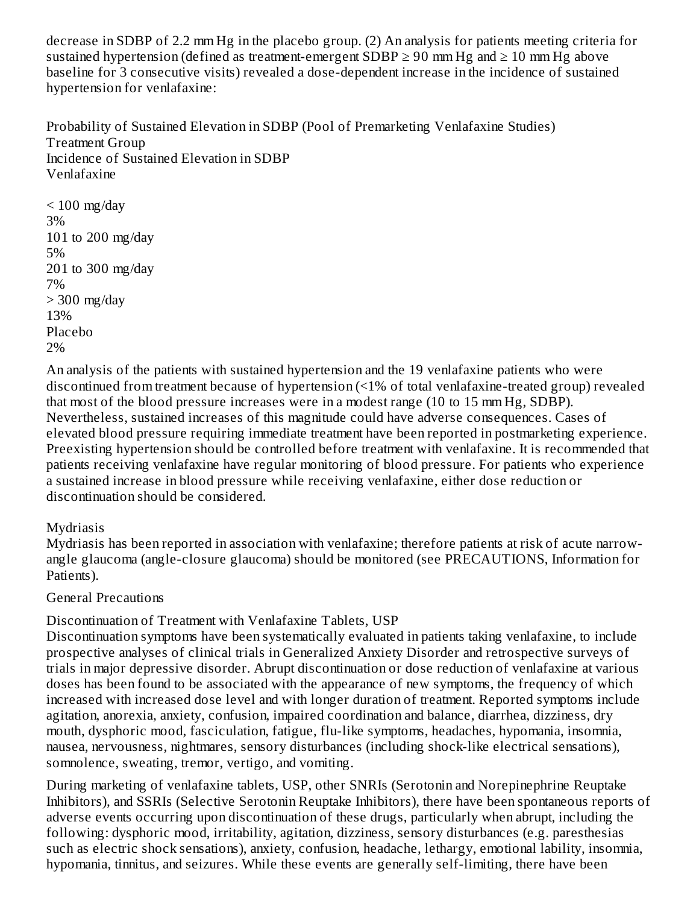decrease in SDBP of 2.2 mm Hg in the placebo group. (2) An analysis for patients meeting criteria for sustained hypertension (defined as treatment-emergent SDBP  $\geq$  90 mm Hg and  $\geq$  10 mm Hg above baseline for 3 consecutive visits) revealed a dose-dependent increase in the incidence of sustained hypertension for venlafaxine:

Probability of Sustained Elevation in SDBP (Pool of Premarketing Venlafaxine Studies) Treatment Group Incidence of Sustained Elevation in SDBP Venlafaxine

 $< 100$  mg/day 3% 101 to 200 mg/day 5% 201 to 300 mg/day 7%  $> 300$  mg/day 13% Placebo 2%

An analysis of the patients with sustained hypertension and the 19 venlafaxine patients who were discontinued from treatment because of hypertension (<1% of total venlafaxine-treated group) revealed that most of the blood pressure increases were in a modest range (10 to 15 mm Hg, SDBP). Nevertheless, sustained increases of this magnitude could have adverse consequences. Cases of elevated blood pressure requiring immediate treatment have been reported in postmarketing experience. Preexisting hypertension should be controlled before treatment with venlafaxine. It is recommended that patients receiving venlafaxine have regular monitoring of blood pressure. For patients who experience a sustained increase in blood pressure while receiving venlafaxine, either dose reduction or discontinuation should be considered.

## Mydriasis

Mydriasis has been reported in association with venlafaxine; therefore patients at risk of acute narrowangle glaucoma (angle-closure glaucoma) should be monitored (see PRECAUTIONS, Information for Patients).

#### General Precautions

## Discontinuation of Treatment with Venlafaxine Tablets, USP

Discontinuation symptoms have been systematically evaluated in patients taking venlafaxine, to include prospective analyses of clinical trials in Generalized Anxiety Disorder and retrospective surveys of trials in major depressive disorder. Abrupt discontinuation or dose reduction of venlafaxine at various doses has been found to be associated with the appearance of new symptoms, the frequency of which increased with increased dose level and with longer duration of treatment. Reported symptoms include agitation, anorexia, anxiety, confusion, impaired coordination and balance, diarrhea, dizziness, dry mouth, dysphoric mood, fasciculation, fatigue, flu-like symptoms, headaches, hypomania, insomnia, nausea, nervousness, nightmares, sensory disturbances (including shock-like electrical sensations), somnolence, sweating, tremor, vertigo, and vomiting.

During marketing of venlafaxine tablets, USP, other SNRIs (Serotonin and Norepinephrine Reuptake Inhibitors), and SSRIs (Selective Serotonin Reuptake Inhibitors), there have been spontaneous reports of adverse events occurring upon discontinuation of these drugs, particularly when abrupt, including the following: dysphoric mood, irritability, agitation, dizziness, sensory disturbances (e.g. paresthesias such as electric shock sensations), anxiety, confusion, headache, lethargy, emotional lability, insomnia, hypomania, tinnitus, and seizures. While these events are generally self-limiting, there have been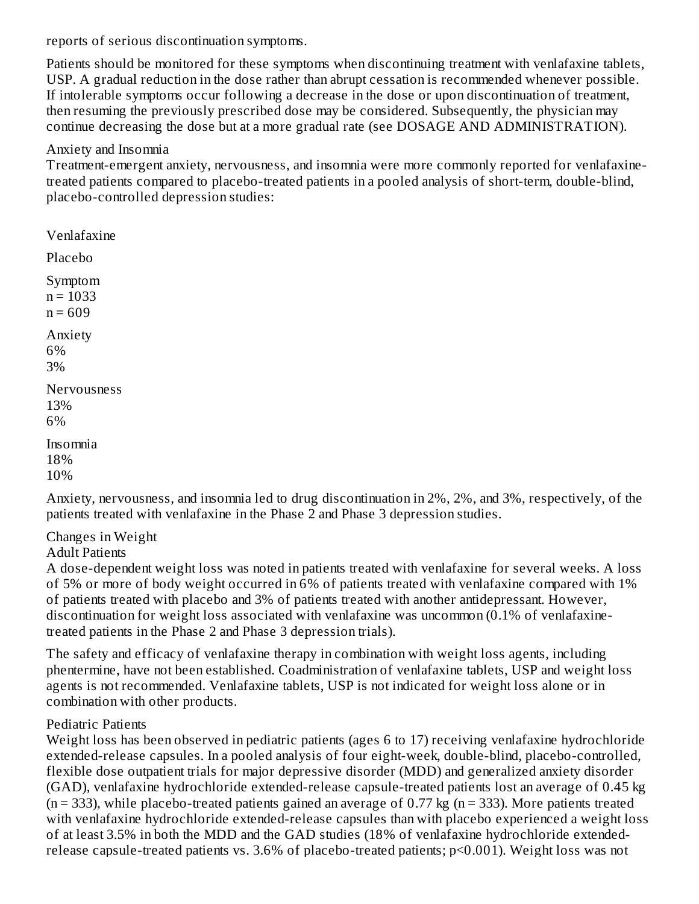reports of serious discontinuation symptoms.

Patients should be monitored for these symptoms when discontinuing treatment with venlafaxine tablets, USP. A gradual reduction in the dose rather than abrupt cessation is recommended whenever possible. If intolerable symptoms occur following a decrease in the dose or upon discontinuation of treatment, then resuming the previously prescribed dose may be considered. Subsequently, the physician may continue decreasing the dose but at a more gradual rate (see DOSAGE AND ADMINISTRATION).

## Anxiety and Insomnia

Treatment-emergent anxiety, nervousness, and insomnia were more commonly reported for venlafaxinetreated patients compared to placebo-treated patients in a pooled analysis of short-term, double-blind, placebo-controlled depression studies:

| Venlafaxine                        |
|------------------------------------|
| Placebo                            |
| Symptom<br>$n = 1033$<br>$n = 609$ |
| Anxiety<br>6%<br>3%                |
| <b>Nervousness</b><br>13%<br>6%    |
| Insomnia<br>18%<br>10%             |

Anxiety, nervousness, and insomnia led to drug discontinuation in 2%, 2%, and 3%, respectively, of the patients treated with venlafaxine in the Phase 2 and Phase 3 depression studies.

Changes in Weight

Adult Patients

A dose-dependent weight loss was noted in patients treated with venlafaxine for several weeks. A loss of 5% or more of body weight occurred in 6% of patients treated with venlafaxine compared with 1% of patients treated with placebo and 3% of patients treated with another antidepressant. However, discontinuation for weight loss associated with venlafaxine was uncommon (0.1% of venlafaxinetreated patients in the Phase 2 and Phase 3 depression trials).

The safety and efficacy of venlafaxine therapy in combination with weight loss agents, including phentermine, have not been established. Coadministration of venlafaxine tablets, USP and weight loss agents is not recommended. Venlafaxine tablets, USP is not indicated for weight loss alone or in combination with other products.

# Pediatric Patients

Weight loss has been observed in pediatric patients (ages 6 to 17) receiving venlafaxine hydrochloride extended-release capsules. In a pooled analysis of four eight-week, double-blind, placebo-controlled, flexible dose outpatient trials for major depressive disorder (MDD) and generalized anxiety disorder (GAD), venlafaxine hydrochloride extended-release capsule-treated patients lost an average of 0.45 kg  $(n = 333)$ , while placebo-treated patients gained an average of 0.77 kg  $(n = 333)$ . More patients treated with venlafaxine hydrochloride extended-release capsules than with placebo experienced a weight loss of at least 3.5% in both the MDD and the GAD studies (18% of venlafaxine hydrochloride extendedrelease capsule-treated patients vs. 3.6% of placebo-treated patients; p<0.001). Weight loss was not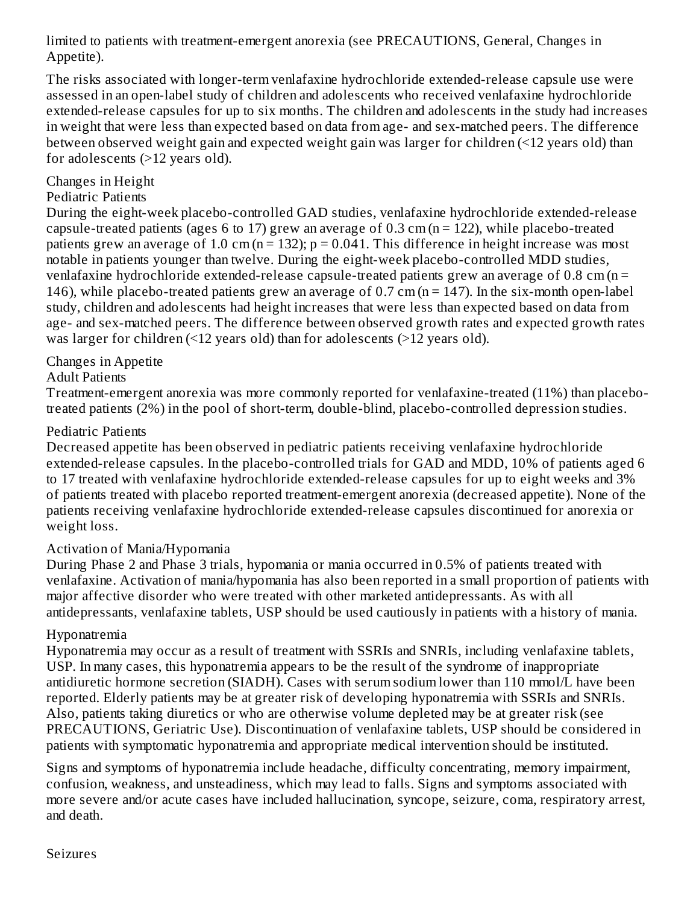limited to patients with treatment-emergent anorexia (see PRECAUTIONS, General, Changes in Appetite).

The risks associated with longer-term venlafaxine hydrochloride extended-release capsule use were assessed in an open-label study of children and adolescents who received venlafaxine hydrochloride extended-release capsules for up to six months. The children and adolescents in the study had increases in weight that were less than expected based on data from age- and sex-matched peers. The difference between observed weight gain and expected weight gain was larger for children (<12 years old) than for adolescents (>12 years old).

## Changes in Height

#### Pediatric Patients

During the eight-week placebo-controlled GAD studies, venlafaxine hydrochloride extended-release capsule-treated patients (ages 6 to 17) grew an average of 0.3 cm ( $n = 122$ ), while placebo-treated patients grew an average of 1.0 cm ( $n = 132$ );  $p = 0.041$ . This difference in height increase was most notable in patients younger than twelve. During the eight-week placebo-controlled MDD studies, venlafaxine hydrochloride extended-release capsule-treated patients grew an average of 0.8 cm ( $n =$ 146), while placebo-treated patients grew an average of 0.7 cm (n = 147). In the six-month open-label study, children and adolescents had height increases that were less than expected based on data from age- and sex-matched peers. The difference between observed growth rates and expected growth rates was larger for children (<12 years old) than for adolescents (>12 years old).

## Changes in Appetite

## Adult Patients

Treatment-emergent anorexia was more commonly reported for venlafaxine-treated (11%) than placebotreated patients (2%) in the pool of short-term, double-blind, placebo-controlled depression studies.

## Pediatric Patients

Decreased appetite has been observed in pediatric patients receiving venlafaxine hydrochloride extended-release capsules. In the placebo-controlled trials for GAD and MDD, 10% of patients aged 6 to 17 treated with venlafaxine hydrochloride extended-release capsules for up to eight weeks and 3% of patients treated with placebo reported treatment-emergent anorexia (decreased appetite). None of the patients receiving venlafaxine hydrochloride extended-release capsules discontinued for anorexia or weight loss.

## Activation of Mania/Hypomania

During Phase 2 and Phase 3 trials, hypomania or mania occurred in 0.5% of patients treated with venlafaxine. Activation of mania/hypomania has also been reported in a small proportion of patients with major affective disorder who were treated with other marketed antidepressants. As with all antidepressants, venlafaxine tablets, USP should be used cautiously in patients with a history of mania.

## Hyponatremia

Hyponatremia may occur as a result of treatment with SSRIs and SNRIs, including venlafaxine tablets, USP. In many cases, this hyponatremia appears to be the result of the syndrome of inappropriate antidiuretic hormone secretion (SIADH). Cases with serum sodium lower than 110 mmol/L have been reported. Elderly patients may be at greater risk of developing hyponatremia with SSRIs and SNRIs. Also, patients taking diuretics or who are otherwise volume depleted may be at greater risk (see PRECAUTIONS, Geriatric Use). Discontinuation of venlafaxine tablets, USP should be considered in patients with symptomatic hyponatremia and appropriate medical intervention should be instituted.

Signs and symptoms of hyponatremia include headache, difficulty concentrating, memory impairment, confusion, weakness, and unsteadiness, which may lead to falls. Signs and symptoms associated with more severe and/or acute cases have included hallucination, syncope, seizure, coma, respiratory arrest, and death.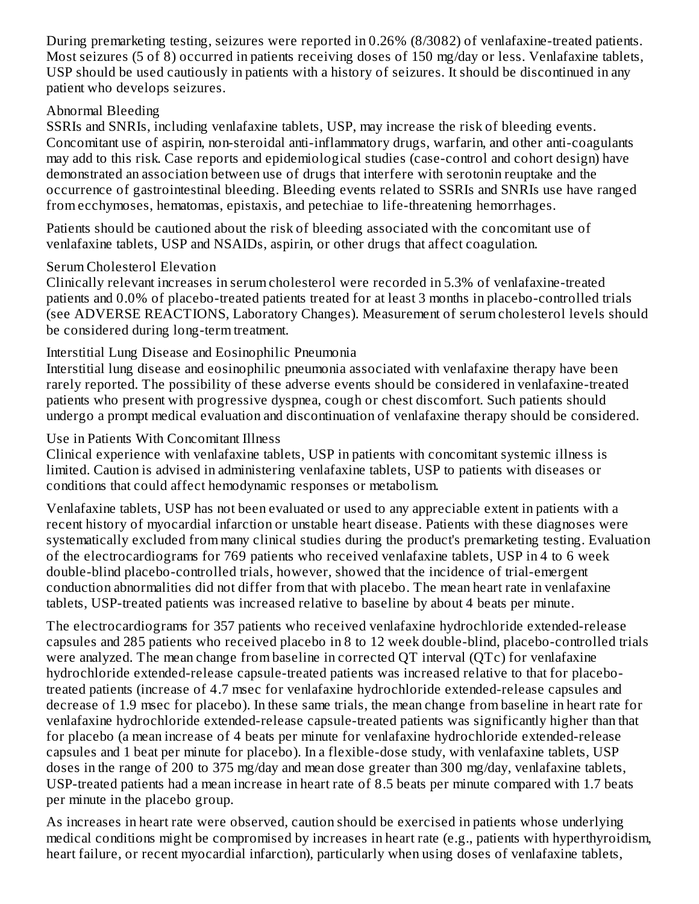During premarketing testing, seizures were reported in 0.26% (8/3082) of venlafaxine-treated patients. Most seizures (5 of 8) occurred in patients receiving doses of 150 mg/day or less. Venlafaxine tablets, USP should be used cautiously in patients with a history of seizures. It should be discontinued in any patient who develops seizures.

## Abnormal Bleeding

SSRIs and SNRIs, including venlafaxine tablets, USP, may increase the risk of bleeding events. Concomitant use of aspirin, non-steroidal anti-inflammatory drugs, warfarin, and other anti-coagulants may add to this risk. Case reports and epidemiological studies (case-control and cohort design) have demonstrated an association between use of drugs that interfere with serotonin reuptake and the occurrence of gastrointestinal bleeding. Bleeding events related to SSRIs and SNRIs use have ranged from ecchymoses, hematomas, epistaxis, and petechiae to life-threatening hemorrhages.

Patients should be cautioned about the risk of bleeding associated with the concomitant use of venlafaxine tablets, USP and NSAIDs, aspirin, or other drugs that affect coagulation.

## Serum Cholesterol Elevation

Clinically relevant increases in serum cholesterol were recorded in 5.3% of venlafaxine-treated patients and 0.0% of placebo-treated patients treated for at least 3 months in placebo-controlled trials (see ADVERSE REACTIONS, Laboratory Changes). Measurement of serum cholesterol levels should be considered during long-term treatment.

## Interstitial Lung Disease and Eosinophilic Pneumonia

Interstitial lung disease and eosinophilic pneumonia associated with venlafaxine therapy have been rarely reported. The possibility of these adverse events should be considered in venlafaxine-treated patients who present with progressive dyspnea, cough or chest discomfort. Such patients should undergo a prompt medical evaluation and discontinuation of venlafaxine therapy should be considered.

## Use in Patients With Concomitant Illness

Clinical experience with venlafaxine tablets, USP in patients with concomitant systemic illness is limited. Caution is advised in administering venlafaxine tablets, USP to patients with diseases or conditions that could affect hemodynamic responses or metabolism.

Venlafaxine tablets, USP has not been evaluated or used to any appreciable extent in patients with a recent history of myocardial infarction or unstable heart disease. Patients with these diagnoses were systematically excluded from many clinical studies during the product's premarketing testing. Evaluation of the electrocardiograms for 769 patients who received venlafaxine tablets, USP in 4 to 6 week double-blind placebo-controlled trials, however, showed that the incidence of trial-emergent conduction abnormalities did not differ from that with placebo. The mean heart rate in venlafaxine tablets, USP-treated patients was increased relative to baseline by about 4 beats per minute.

The electrocardiograms for 357 patients who received venlafaxine hydrochloride extended-release capsules and 285 patients who received placebo in 8 to 12 week double-blind, placebo-controlled trials were analyzed. The mean change from baseline in corrected QT interval (QTc) for venlafaxine hydrochloride extended-release capsule-treated patients was increased relative to that for placebotreated patients (increase of 4.7 msec for venlafaxine hydrochloride extended-release capsules and decrease of 1.9 msec for placebo). In these same trials, the mean change from baseline in heart rate for venlafaxine hydrochloride extended-release capsule-treated patients was significantly higher than that for placebo (a mean increase of 4 beats per minute for venlafaxine hydrochloride extended-release capsules and 1 beat per minute for placebo). In a flexible-dose study, with venlafaxine tablets, USP doses in the range of 200 to 375 mg/day and mean dose greater than 300 mg/day, venlafaxine tablets, USP-treated patients had a mean increase in heart rate of 8.5 beats per minute compared with 1.7 beats per minute in the placebo group.

As increases in heart rate were observed, caution should be exercised in patients whose underlying medical conditions might be compromised by increases in heart rate (e.g., patients with hyperthyroidism, heart failure, or recent myocardial infarction), particularly when using doses of venlafaxine tablets,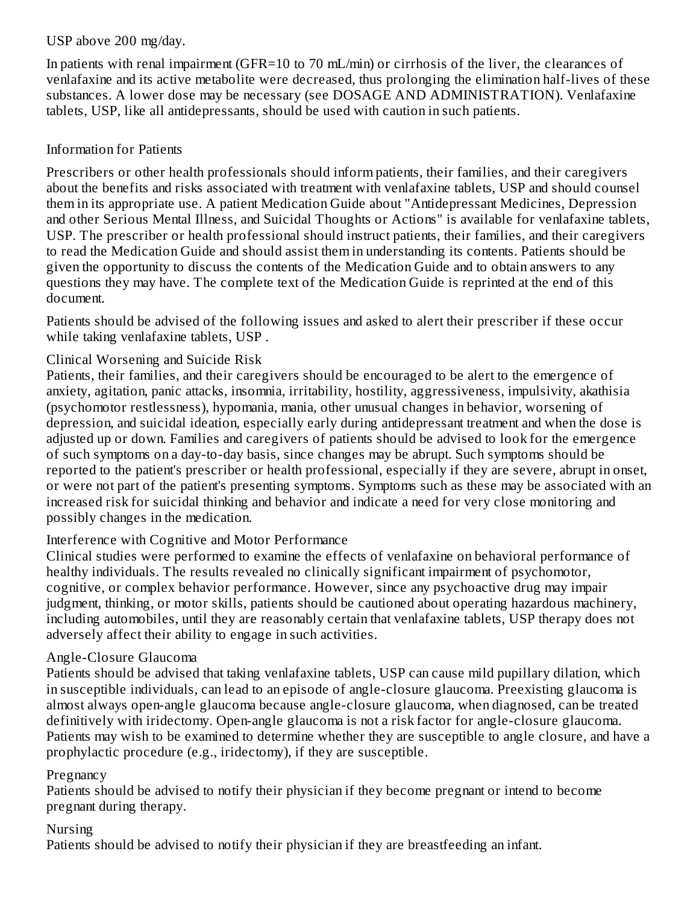## USP above 200 mg/day.

In patients with renal impairment (GFR=10 to 70 mL/min) or cirrhosis of the liver, the clearances of venlafaxine and its active metabolite were decreased, thus prolonging the elimination half-lives of these substances. A lower dose may be necessary (see DOSAGE AND ADMINISTRATION). Venlafaxine tablets, USP, like all antidepressants, should be used with caution in such patients.

## Information for Patients

Prescribers or other health professionals should inform patients, their families, and their caregivers about the benefits and risks associated with treatment with venlafaxine tablets, USP and should counsel them in its appropriate use. A patient Medication Guide about "Antidepressant Medicines, Depression and other Serious Mental Illness, and Suicidal Thoughts or Actions" is available for venlafaxine tablets, USP. The prescriber or health professional should instruct patients, their families, and their caregivers to read the Medication Guide and should assist them in understanding its contents. Patients should be given the opportunity to discuss the contents of the Medication Guide and to obtain answers to any questions they may have. The complete text of the Medication Guide is reprinted at the end of this document.

Patients should be advised of the following issues and asked to alert their prescriber if these occur while taking venlafaxine tablets, USP .

# Clinical Worsening and Suicide Risk

Patients, their families, and their caregivers should be encouraged to be alert to the emergence of anxiety, agitation, panic attacks, insomnia, irritability, hostility, aggressiveness, impulsivity, akathisia (psychomotor restlessness), hypomania, mania, other unusual changes in behavior, worsening of depression, and suicidal ideation, especially early during antidepressant treatment and when the dose is adjusted up or down. Families and caregivers of patients should be advised to look for the emergence of such symptoms on a day-to-day basis, since changes may be abrupt. Such symptoms should be reported to the patient's prescriber or health professional, especially if they are severe, abrupt in onset, or were not part of the patient's presenting symptoms. Symptoms such as these may be associated with an increased risk for suicidal thinking and behavior and indicate a need for very close monitoring and possibly changes in the medication.

# Interference with Cognitive and Motor Performance

Clinical studies were performed to examine the effects of venlafaxine on behavioral performance of healthy individuals. The results revealed no clinically significant impairment of psychomotor, cognitive, or complex behavior performance. However, since any psychoactive drug may impair judgment, thinking, or motor skills, patients should be cautioned about operating hazardous machinery, including automobiles, until they are reasonably certain that venlafaxine tablets, USP therapy does not adversely affect their ability to engage in such activities.

## Angle-Closure Glaucoma

Patients should be advised that taking venlafaxine tablets, USP can cause mild pupillary dilation, which in susceptible individuals, can lead to an episode of angle-closure glaucoma. Preexisting glaucoma is almost always open-angle glaucoma because angle-closure glaucoma, when diagnosed, can be treated definitively with iridectomy. Open-angle glaucoma is not a risk factor for angle-closure glaucoma. Patients may wish to be examined to determine whether they are susceptible to angle closure, and have a prophylactic procedure (e.g., iridectomy), if they are susceptible.

## **Pregnancy**

Patients should be advised to notify their physician if they become pregnant or intend to become pregnant during therapy.

## Nursing

Patients should be advised to notify their physician if they are breastfeeding an infant.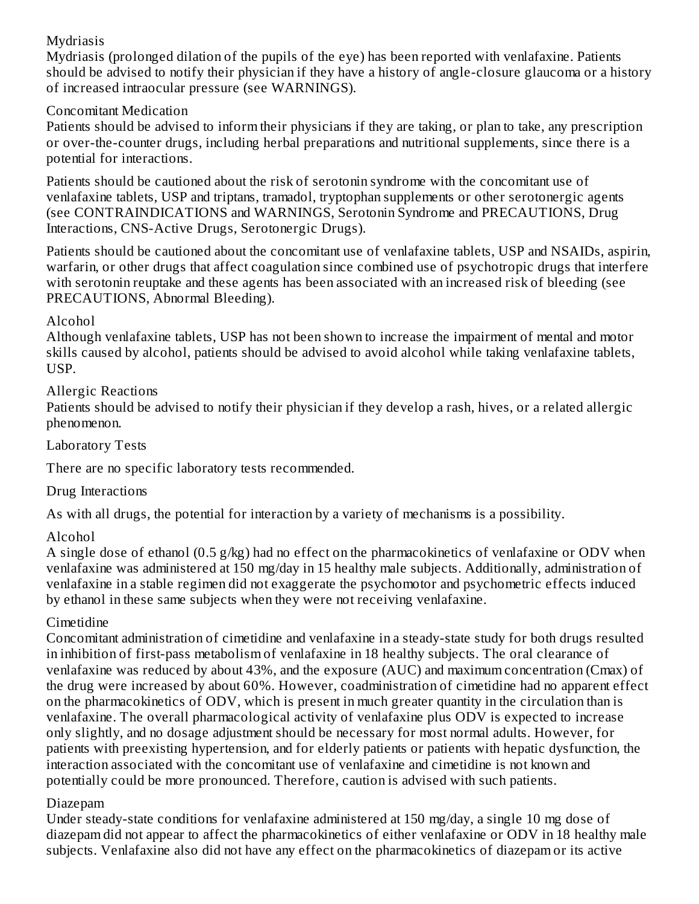## Mydriasis

Mydriasis (prolonged dilation of the pupils of the eye) has been reported with venlafaxine. Patients should be advised to notify their physician if they have a history of angle-closure glaucoma or a history of increased intraocular pressure (see WARNINGS).

#### Concomitant Medication

Patients should be advised to inform their physicians if they are taking, or plan to take, any prescription or over-the-counter drugs, including herbal preparations and nutritional supplements, since there is a potential for interactions.

Patients should be cautioned about the risk of serotonin syndrome with the concomitant use of venlafaxine tablets, USP and triptans, tramadol, tryptophan supplements or other serotonergic agents (see CONTRAINDICATIONS and WARNINGS, Serotonin Syndrome and PRECAUTIONS, Drug Interactions, CNS-Active Drugs, Serotonergic Drugs).

Patients should be cautioned about the concomitant use of venlafaxine tablets, USP and NSAIDs, aspirin, warfarin, or other drugs that affect coagulation since combined use of psychotropic drugs that interfere with serotonin reuptake and these agents has been associated with an increased risk of bleeding (see PRECAUTIONS, Abnormal Bleeding).

## Alcohol

Although venlafaxine tablets, USP has not been shown to increase the impairment of mental and motor skills caused by alcohol, patients should be advised to avoid alcohol while taking venlafaxine tablets, USP.

## Allergic Reactions

Patients should be advised to notify their physician if they develop a rash, hives, or a related allergic phenomenon.

Laboratory Tests

There are no specific laboratory tests recommended.

Drug Interactions

As with all drugs, the potential for interaction by a variety of mechanisms is a possibility.

## Alcohol

A single dose of ethanol (0.5 g/kg) had no effect on the pharmacokinetics of venlafaxine or ODV when venlafaxine was administered at 150 mg/day in 15 healthy male subjects. Additionally, administration of venlafaxine in a stable regimen did not exaggerate the psychomotor and psychometric effects induced by ethanol in these same subjects when they were not receiving venlafaxine.

## Cimetidine

Concomitant administration of cimetidine and venlafaxine in a steady-state study for both drugs resulted in inhibition of first-pass metabolism of venlafaxine in 18 healthy subjects. The oral clearance of venlafaxine was reduced by about 43%, and the exposure (AUC) and maximum concentration (Cmax) of the drug were increased by about 60%. However, coadministration of cimetidine had no apparent effect on the pharmacokinetics of ODV, which is present in much greater quantity in the circulation than is venlafaxine. The overall pharmacological activity of venlafaxine plus ODV is expected to increase only slightly, and no dosage adjustment should be necessary for most normal adults. However, for patients with preexisting hypertension, and for elderly patients or patients with hepatic dysfunction, the interaction associated with the concomitant use of venlafaxine and cimetidine is not known and potentially could be more pronounced. Therefore, caution is advised with such patients.

## Diazepam

Under steady-state conditions for venlafaxine administered at 150 mg/day, a single 10 mg dose of diazepam did not appear to affect the pharmacokinetics of either venlafaxine or ODV in 18 healthy male subjects. Venlafaxine also did not have any effect on the pharmacokinetics of diazepam or its active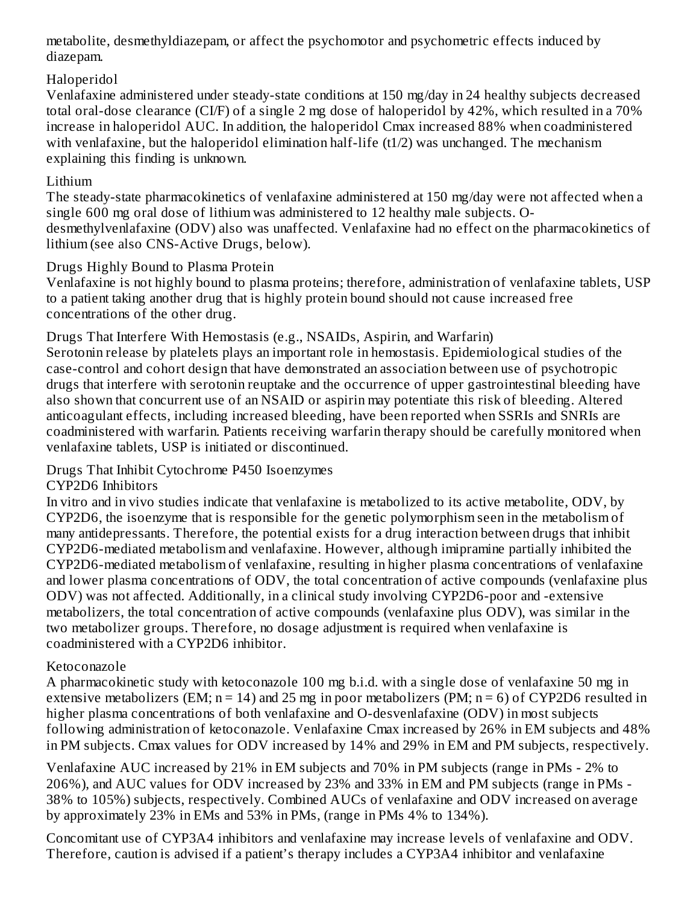metabolite, desmethyldiazepam, or affect the psychomotor and psychometric effects induced by diazepam.

# Haloperidol

Venlafaxine administered under steady-state conditions at 150 mg/day in 24 healthy subjects decreased total oral-dose clearance (CI/F) of a single 2 mg dose of haloperidol by 42%, which resulted in a 70% increase in haloperidol AUC. In addition, the haloperidol Cmax increased 88% when coadministered with venlafaxine, but the haloperidol elimination half-life (t1/2) was unchanged. The mechanism explaining this finding is unknown.

# Lithium

The steady-state pharmacokinetics of venlafaxine administered at 150 mg/day were not affected when a single 600 mg oral dose of lithium was administered to 12 healthy male subjects. Odesmethylvenlafaxine (ODV) also was unaffected. Venlafaxine had no effect on the pharmacokinetics of lithium (see also CNS-Active Drugs, below).

# Drugs Highly Bound to Plasma Protein

Venlafaxine is not highly bound to plasma proteins; therefore, administration of venlafaxine tablets, USP to a patient taking another drug that is highly protein bound should not cause increased free concentrations of the other drug.

# Drugs That Interfere With Hemostasis (e.g., NSAIDs, Aspirin, and Warfarin)

Serotonin release by platelets plays an important role in hemostasis. Epidemiological studies of the case-control and cohort design that have demonstrated an association between use of psychotropic drugs that interfere with serotonin reuptake and the occurrence of upper gastrointestinal bleeding have also shown that concurrent use of an NSAID or aspirin may potentiate this risk of bleeding. Altered anticoagulant effects, including increased bleeding, have been reported when SSRIs and SNRIs are coadministered with warfarin. Patients receiving warfarin therapy should be carefully monitored when venlafaxine tablets, USP is initiated or discontinued.

Drugs That Inhibit Cytochrome P450 Isoenzymes

# CYP2D6 Inhibitors

In vitro and in vivo studies indicate that venlafaxine is metabolized to its active metabolite, ODV, by CYP2D6, the isoenzyme that is responsible for the genetic polymorphism seen in the metabolism of many antidepressants. Therefore, the potential exists for a drug interaction between drugs that inhibit CYP2D6-mediated metabolism and venlafaxine. However, although imipramine partially inhibited the CYP2D6-mediated metabolism of venlafaxine, resulting in higher plasma concentrations of venlafaxine and lower plasma concentrations of ODV, the total concentration of active compounds (venlafaxine plus ODV) was not affected. Additionally, in a clinical study involving CYP2D6-poor and -extensive metabolizers, the total concentration of active compounds (venlafaxine plus ODV), was similar in the two metabolizer groups. Therefore, no dosage adjustment is required when venlafaxine is coadministered with a CYP2D6 inhibitor.

# Ketoconazole

A pharmacokinetic study with ketoconazole 100 mg b.i.d. with a single dose of venlafaxine 50 mg in extensive metabolizers (EM;  $n = 14$ ) and 25 mg in poor metabolizers (PM;  $n = 6$ ) of CYP2D6 resulted in higher plasma concentrations of both venlafaxine and O-desvenlafaxine (ODV) in most subjects following administration of ketoconazole. Venlafaxine Cmax increased by 26% in EM subjects and 48% in PM subjects. Cmax values for ODV increased by 14% and 29% in EM and PM subjects, respectively.

Venlafaxine AUC increased by 21% in EM subjects and 70% in PM subjects (range in PMs - 2% to 206%), and AUC values for ODV increased by 23% and 33% in EM and PM subjects (range in PMs - 38% to 105%) subjects, respectively. Combined AUCs of venlafaxine and ODV increased on average by approximately 23% in EMs and 53% in PMs, (range in PMs 4% to 134%).

Concomitant use of CYP3A4 inhibitors and venlafaxine may increase levels of venlafaxine and ODV. Therefore, caution is advised if a patient's therapy includes a CYP3A4 inhibitor and venlafaxine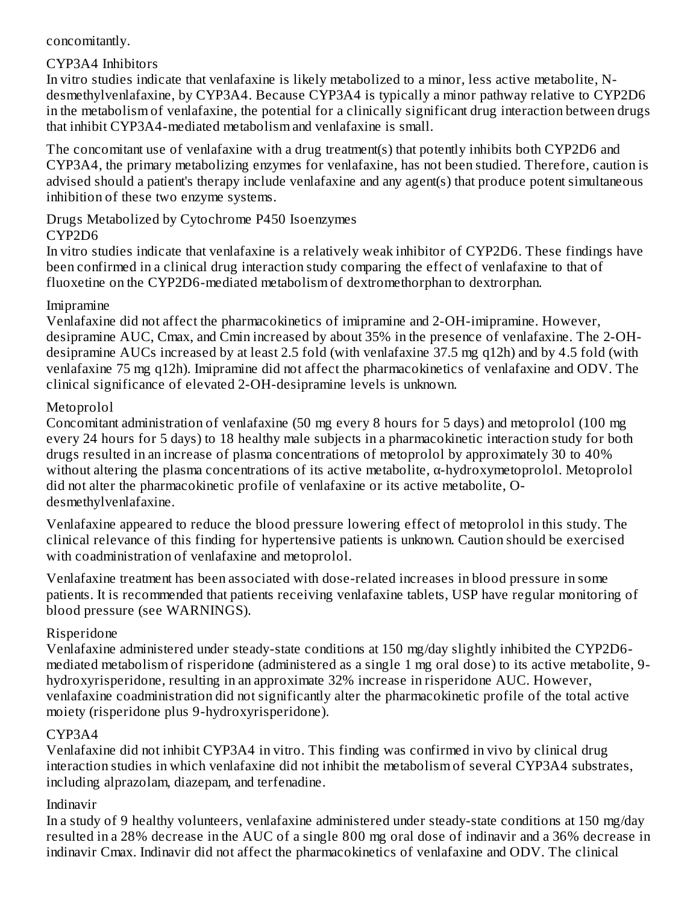#### concomitantly.

## CYP3A4 Inhibitors

In vitro studies indicate that venlafaxine is likely metabolized to a minor, less active metabolite, Ndesmethylvenlafaxine, by CYP3A4. Because CYP3A4 is typically a minor pathway relative to CYP2D6 in the metabolism of venlafaxine, the potential for a clinically significant drug interaction between drugs that inhibit CYP3A4-mediated metabolism and venlafaxine is small.

The concomitant use of venlafaxine with a drug treatment(s) that potently inhibits both CYP2D6 and CYP3A4, the primary metabolizing enzymes for venlafaxine, has not been studied. Therefore, caution is advised should a patient's therapy include venlafaxine and any agent(s) that produce potent simultaneous inhibition of these two enzyme systems.

# Drugs Metabolized by Cytochrome P450 Isoenzymes

#### CYP2D6

In vitro studies indicate that venlafaxine is a relatively weak inhibitor of CYP2D6. These findings have been confirmed in a clinical drug interaction study comparing the effect of venlafaxine to that of fluoxetine on the CYP2D6-mediated metabolism of dextromethorphan to dextrorphan.

## Imipramine

Venlafaxine did not affect the pharmacokinetics of imipramine and 2-OH-imipramine. However, desipramine AUC, Cmax, and Cmin increased by about 35% in the presence of venlafaxine. The 2-OHdesipramine AUCs increased by at least 2.5 fold (with venlafaxine 37.5 mg q12h) and by 4.5 fold (with venlafaxine 75 mg q12h). Imipramine did not affect the pharmacokinetics of venlafaxine and ODV. The clinical significance of elevated 2-OH-desipramine levels is unknown.

## Metoprolol

Concomitant administration of venlafaxine (50 mg every 8 hours for 5 days) and metoprolol (100 mg every 24 hours for 5 days) to 18 healthy male subjects in a pharmacokinetic interaction study for both drugs resulted in an increase of plasma concentrations of metoprolol by approximately 30 to 40% without altering the plasma concentrations of its active metabolite,  $\alpha$ -hydroxymetoprolol. Metoprolol did not alter the pharmacokinetic profile of venlafaxine or its active metabolite, Odesmethylvenlafaxine.

Venlafaxine appeared to reduce the blood pressure lowering effect of metoprolol in this study. The clinical relevance of this finding for hypertensive patients is unknown. Caution should be exercised with coadministration of venlafaxine and metoprolol.

Venlafaxine treatment has been associated with dose-related increases in blood pressure in some patients. It is recommended that patients receiving venlafaxine tablets, USP have regular monitoring of blood pressure (see WARNINGS).

## Risperidone

Venlafaxine administered under steady-state conditions at 150 mg/day slightly inhibited the CYP2D6 mediated metabolism of risperidone (administered as a single 1 mg oral dose) to its active metabolite, 9 hydroxyrisperidone, resulting in an approximate 32% increase in risperidone AUC. However, venlafaxine coadministration did not significantly alter the pharmacokinetic profile of the total active moiety (risperidone plus 9-hydroxyrisperidone).

## CYP3A4

Venlafaxine did not inhibit CYP3A4 in vitro. This finding was confirmed in vivo by clinical drug interaction studies in which venlafaxine did not inhibit the metabolism of several CYP3A4 substrates, including alprazolam, diazepam, and terfenadine.

## Indinavir

In a study of 9 healthy volunteers, venlafaxine administered under steady-state conditions at 150 mg/day resulted in a 28% decrease in the AUC of a single 800 mg oral dose of indinavir and a 36% decrease in indinavir Cmax. Indinavir did not affect the pharmacokinetics of venlafaxine and ODV. The clinical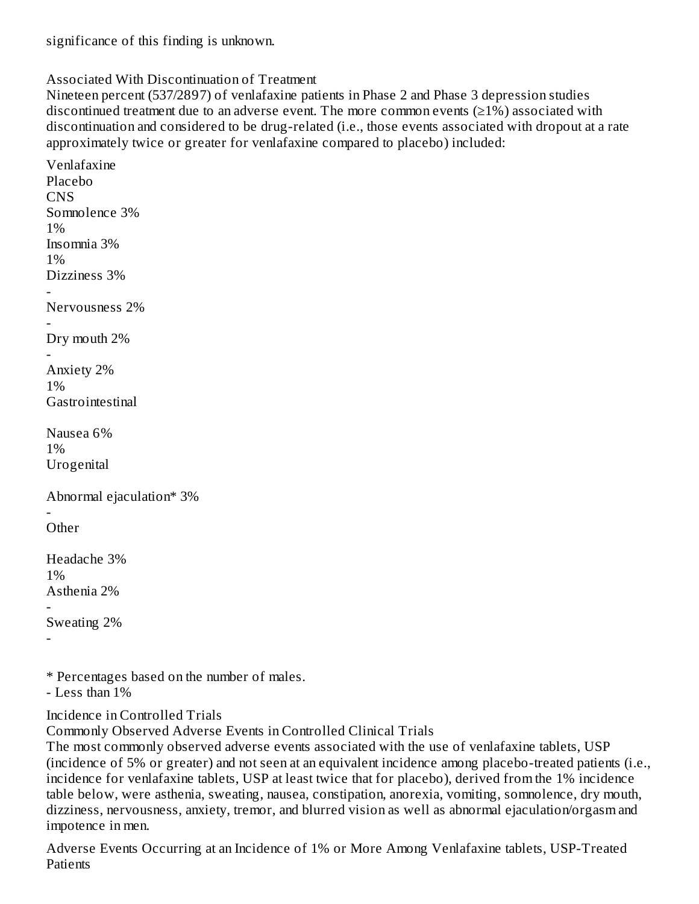significance of this finding is unknown.

Associated With Discontinuation of Treatment

Nineteen percent (537/2897) of venlafaxine patients in Phase 2 and Phase 3 depression studies discontinued treatment due to an adverse event. The more common events  $(≥1%)$  associated with discontinuation and considered to be drug-related (i.e., those events associated with dropout at a rate approximately twice or greater for venlafaxine compared to placebo) included:

Venlafaxine Placebo CNS Somnolence 3% 1% Insomnia 3% 1% Dizziness 3% - Nervousness 2% - Dry mouth 2% - Anxiety 2% 1% **Gastrointestinal** Nausea 6% 1% Urogenital Abnormal ejaculation\* 3% - **Other** 

Headache 3% 1% Asthenia 2% -

Sweating 2% -

\* Percentages based on the number of males.

- Less than 1%

Incidence in Controlled Trials

Commonly Observed Adverse Events in Controlled Clinical Trials

The most commonly observed adverse events associated with the use of venlafaxine tablets, USP (incidence of 5% or greater) and not seen at an equivalent incidence among placebo-treated patients (i.e., incidence for venlafaxine tablets, USP at least twice that for placebo), derived from the 1% incidence table below, were asthenia, sweating, nausea, constipation, anorexia, vomiting, somnolence, dry mouth, dizziness, nervousness, anxiety, tremor, and blurred vision as well as abnormal ejaculation/orgasm and impotence in men.

Adverse Events Occurring at an Incidence of 1% or More Among Venlafaxine tablets, USP-Treated **Patients**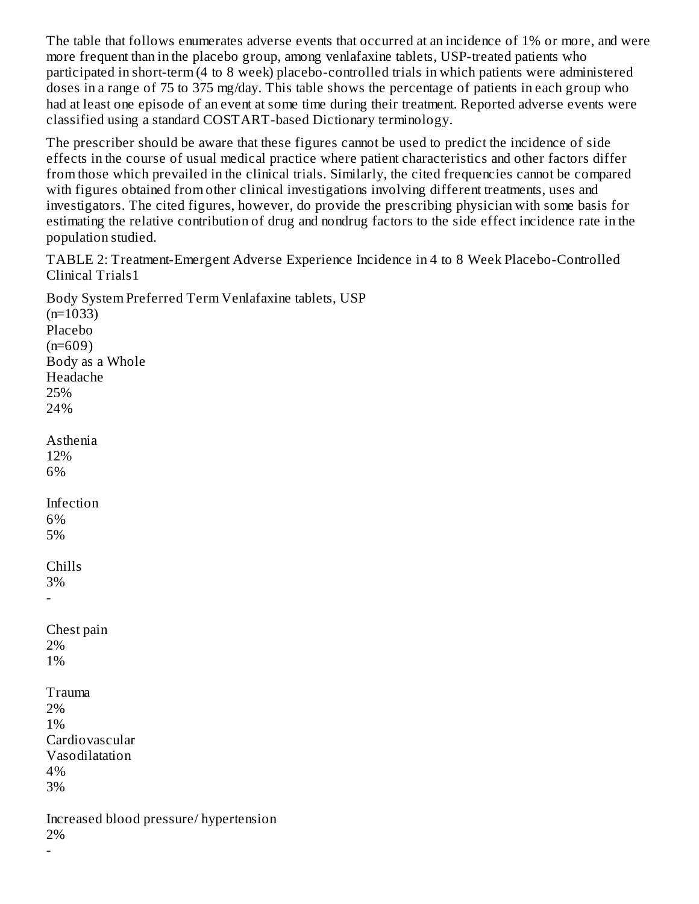The table that follows enumerates adverse events that occurred at an incidence of 1% or more, and were more frequent than in the placebo group, among venlafaxine tablets, USP-treated patients who participated in short-term (4 to 8 week) placebo-controlled trials in which patients were administered doses in a range of 75 to 375 mg/day. This table shows the percentage of patients in each group who had at least one episode of an event at some time during their treatment. Reported adverse events were classified using a standard COSTART-based Dictionary terminology.

The prescriber should be aware that these figures cannot be used to predict the incidence of side effects in the course of usual medical practice where patient characteristics and other factors differ from those which prevailed in the clinical trials. Similarly, the cited frequencies cannot be compared with figures obtained from other clinical investigations involving different treatments, uses and investigators. The cited figures, however, do provide the prescribing physician with some basis for estimating the relative contribution of drug and nondrug factors to the side effect incidence rate in the population studied.

TABLE 2: Treatment-Emergent Adverse Experience Incidence in 4 to 8 Week Placebo-Controlled Clinical Trials1

Body System Preferred Term Venlafaxine tablets, USP  $(n=1033)$ Placebo  $(n=609)$ Body as a Whole Headache 25% 24% Asthenia 12% 6% Infection 6% 5% Chills 3% - Chest pain 2% 1% Trauma 2% 1% Cardiovascular Vasodilatation 4% 3% Increased blood pressure/ hypertension 2%

-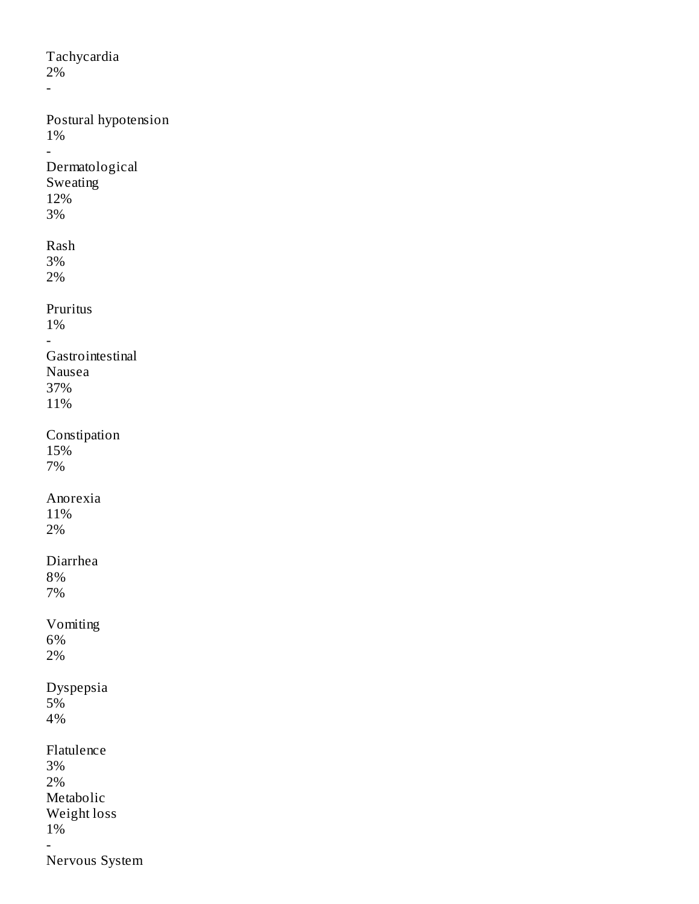Tachycardia 2% - Postural hypotension 1% - Dermatological Sweating 12% 3% Rash 3% 2% Pruritus 1% - Gastrointestinal Nausea 37% 11% Constipation 15% 7% Anorexia 11% 2% Diarrhea 8% 7% Vomiting 6% 2% Dyspepsia 5% 4% Flatulence 3% 2% Metabolic Weight loss 1% - Nervous System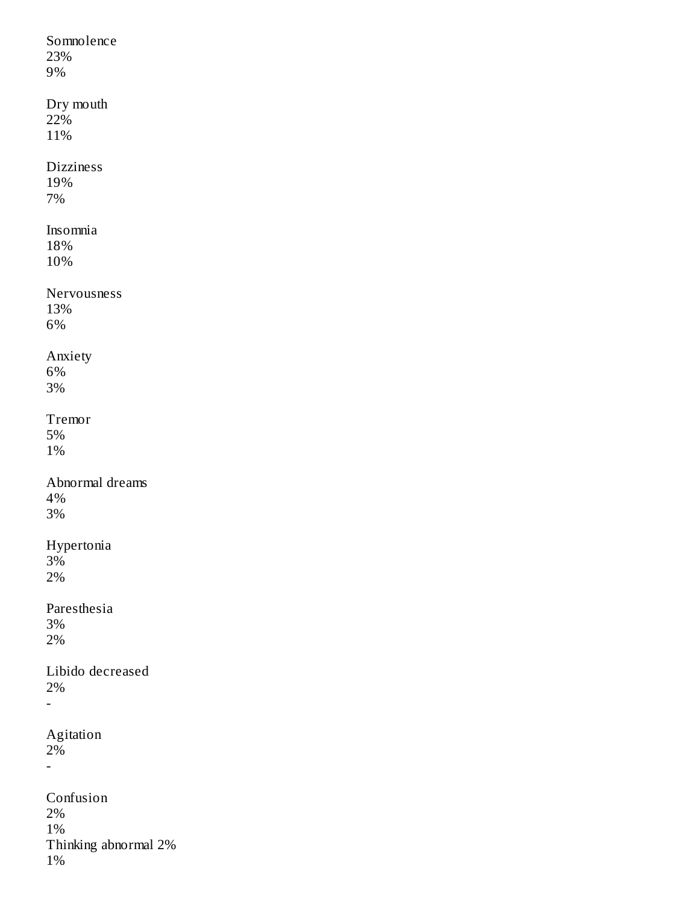Somnolence 23% 9% Dry mouth 22% 11% Dizziness 19% 7% Insomnia 18% 10% Nervousness 13% 6% Anxiety 6% 3% Tremor 5% 1% Abnormal dreams 4% 3% Hypertonia 3% 2% Paresthesia 3% 2% Libido decreased 2% - Agitation 2% - Confusion 2% 1% Thinking abnormal 2% 1%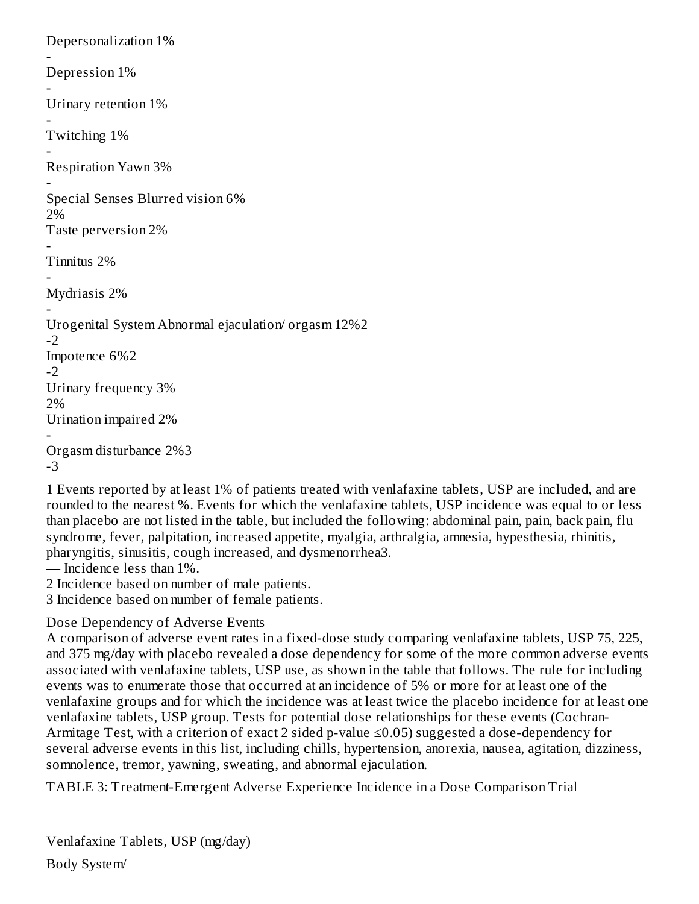Depersonalization 1% - Depression 1% - Urinary retention 1% - Twitching 1% - Respiration Yawn 3% - Special Senses Blurred vision 6% 2% Taste perversion 2% - Tinnitus 2% - Mydriasis 2% - Urogenital System Abnormal ejaculation/ orgasm 12%2 -2 Impotence 6%2 -2 Urinary frequency 3% 2% Urination impaired 2% - Orgasm disturbance 2%3 -3

1 Events reported by at least 1% of patients treated with venlafaxine tablets, USP are included, and are rounded to the nearest %. Events for which the venlafaxine tablets, USP incidence was equal to or less than placebo are not listed in the table, but included the following: abdominal pain, pain, back pain, flu syndrome, fever, palpitation, increased appetite, myalgia, arthralgia, amnesia, hypesthesia, rhinitis, pharyngitis, sinusitis, cough increased, and dysmenorrhea3.

— Incidence less than 1%.

2 Incidence based on number of male patients.

3 Incidence based on number of female patients.

## Dose Dependency of Adverse Events

A comparison of adverse event rates in a fixed-dose study comparing venlafaxine tablets, USP 75, 225, and 375 mg/day with placebo revealed a dose dependency for some of the more common adverse events associated with venlafaxine tablets, USP use, as shown in the table that follows. The rule for including events was to enumerate those that occurred at an incidence of 5% or more for at least one of the venlafaxine groups and for which the incidence was at least twice the placebo incidence for at least one venlafaxine tablets, USP group. Tests for potential dose relationships for these events (Cochran-Armitage Test, with a criterion of exact 2 sided p-value ≤0.05) suggested a dose-dependency for several adverse events in this list, including chills, hypertension, anorexia, nausea, agitation, dizziness, somnolence, tremor, yawning, sweating, and abnormal ejaculation.

TABLE 3: Treatment-Emergent Adverse Experience Incidence in a Dose Comparison Trial

Venlafaxine Tablets, USP (mg/day) Body System/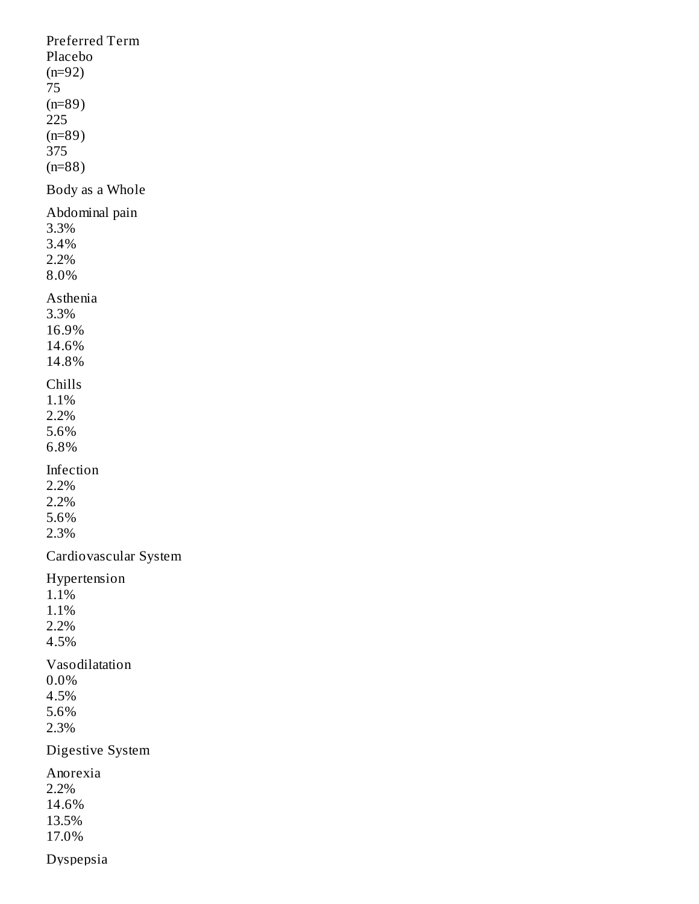Preferred Term Placebo (n=92) 75  $(n=89)$ 225  $(n=89)$ 375 (n=88) Body as a Whole Abdominal pain 3.3% 3.4% 2.2% 8.0% Asthenia 3.3% 16.9% 14.6% 14.8% Chills 1.1% 2.2% 5.6% 6.8% Infection 2.2% 2.2% 5.6% 2.3% Cardiovascular System Hypertension 1.1% 1.1% 2.2% 4.5% Vasodilatation 0.0% 4.5% 5.6% 2.3% Digestive System Anorexia 2.2% 14.6% 13.5% 17.0% Dyspepsia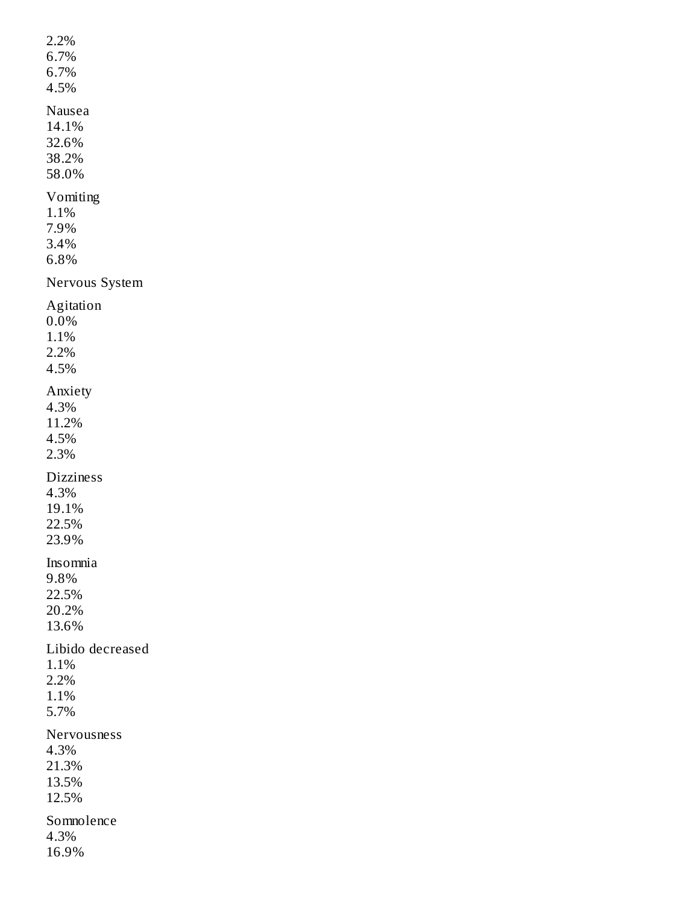2.2% 6.7% 6.7% 4.5% Nausea 14.1% 32.6% 38.2% 58.0% Vomiting 1.1% 7.9% 3.4% 6.8% Nervous System Agitation 0.0% 1.1% 2.2% 4.5% Anxiety 4.3% 11.2% 4.5% 2.3% Dizziness 4.3% 19.1% 22.5% 23.9% Insomnia 9.8% 22.5% 20.2% 13.6% Libido decreased 1.1% 2.2% 1.1% 5.7% Nervousness 4.3% 21.3% 13.5% 12.5% Somnolence 4.3% 16.9%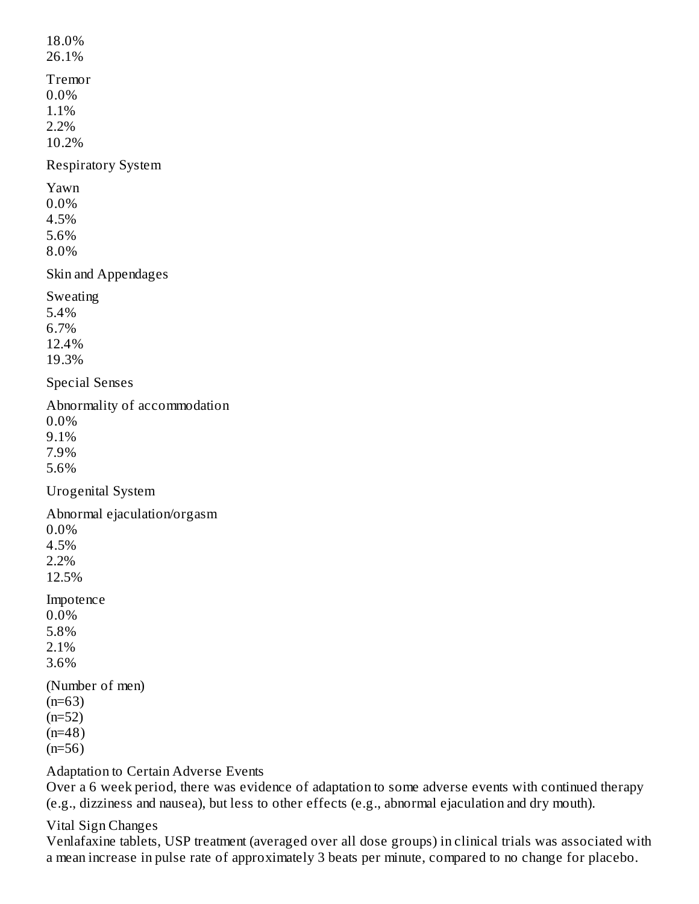18.0%

26.1%

Tremor

0.0%

1.1% 2.2%

10.2%

Respiratory System

Yawn

- 0.0%
- 4.5%

5.6%

8.0%

Skin and Appendages

Sweating

5.4% 6.7%

12.4%

19.3%

Special Senses

Abnormality of accommodation

0.0%

9.1%

7.9%

5.6%

Urogenital System

Abnormal ejaculation/orgasm 0.0%

4.5% 2.2% 12.5%

Impotence

0.0% 5.8% 2.1% 3.6%

(Number of men)

 $(n=63)$  $(n=52)$  $(n=48)$ 

 $(n=56)$ 

Adaptation to Certain Adverse Events

Over a 6 week period, there was evidence of adaptation to some adverse events with continued therapy (e.g., dizziness and nausea), but less to other effects (e.g., abnormal ejaculation and dry mouth).

Vital Sign Changes

Venlafaxine tablets, USP treatment (averaged over all dose groups) in clinical trials was associated with a mean increase in pulse rate of approximately 3 beats per minute, compared to no change for placebo.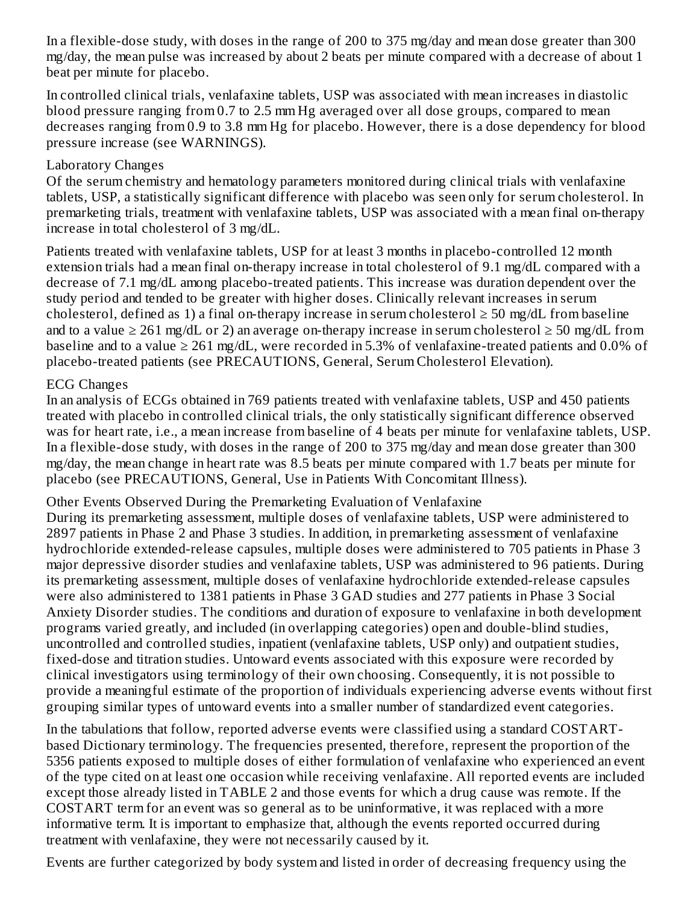In a flexible-dose study, with doses in the range of 200 to 375 mg/day and mean dose greater than 300 mg/day, the mean pulse was increased by about 2 beats per minute compared with a decrease of about 1 beat per minute for placebo.

In controlled clinical trials, venlafaxine tablets, USP was associated with mean increases in diastolic blood pressure ranging from 0.7 to 2.5 mm Hg averaged over all dose groups, compared to mean decreases ranging from 0.9 to 3.8 mm Hg for placebo. However, there is a dose dependency for blood pressure increase (see WARNINGS).

## Laboratory Changes

Of the serum chemistry and hematology parameters monitored during clinical trials with venlafaxine tablets, USP, a statistically significant difference with placebo was seen only for serum cholesterol. In premarketing trials, treatment with venlafaxine tablets, USP was associated with a mean final on-therapy increase in total cholesterol of 3 mg/dL.

Patients treated with venlafaxine tablets, USP for at least 3 months in placebo-controlled 12 month extension trials had a mean final on-therapy increase in total cholesterol of 9.1 mg/dL compared with a decrease of 7.1 mg/dL among placebo-treated patients. This increase was duration dependent over the study period and tended to be greater with higher doses. Clinically relevant increases in serum cholesterol, defined as 1) a final on-therapy increase in serum cholesterol  $\geq$  50 mg/dL from baseline and to a value  $\geq 261$  mg/dL or 2) an average on-therapy increase in serum cholesterol  $\geq 50$  mg/dL from baseline and to a value  $\geq 261$  mg/dL, were recorded in 5.3% of venlafaxine-treated patients and 0.0% of placebo-treated patients (see PRECAUTIONS, General, Serum Cholesterol Elevation).

## ECG Changes

In an analysis of ECGs obtained in 769 patients treated with venlafaxine tablets, USP and 450 patients treated with placebo in controlled clinical trials, the only statistically significant difference observed was for heart rate, i.e., a mean increase from baseline of 4 beats per minute for venlafaxine tablets, USP. In a flexible-dose study, with doses in the range of 200 to 375 mg/day and mean dose greater than 300 mg/day, the mean change in heart rate was 8.5 beats per minute compared with 1.7 beats per minute for placebo (see PRECAUTIONS, General, Use in Patients With Concomitant Illness).

## Other Events Observed During the Premarketing Evaluation of Venlafaxine

During its premarketing assessment, multiple doses of venlafaxine tablets, USP were administered to 2897 patients in Phase 2 and Phase 3 studies. In addition, in premarketing assessment of venlafaxine hydrochloride extended-release capsules, multiple doses were administered to 705 patients in Phase 3 major depressive disorder studies and venlafaxine tablets, USP was administered to 96 patients. During its premarketing assessment, multiple doses of venlafaxine hydrochloride extended-release capsules were also administered to 1381 patients in Phase 3 GAD studies and 277 patients in Phase 3 Social Anxiety Disorder studies. The conditions and duration of exposure to venlafaxine in both development programs varied greatly, and included (in overlapping categories) open and double-blind studies, uncontrolled and controlled studies, inpatient (venlafaxine tablets, USP only) and outpatient studies, fixed-dose and titration studies. Untoward events associated with this exposure were recorded by clinical investigators using terminology of their own choosing. Consequently, it is not possible to provide a meaningful estimate of the proportion of individuals experiencing adverse events without first grouping similar types of untoward events into a smaller number of standardized event categories.

In the tabulations that follow, reported adverse events were classified using a standard COSTARTbased Dictionary terminology. The frequencies presented, therefore, represent the proportion of the 5356 patients exposed to multiple doses of either formulation of venlafaxine who experienced an event of the type cited on at least one occasion while receiving venlafaxine. All reported events are included except those already listed in TABLE 2 and those events for which a drug cause was remote. If the COSTART term for an event was so general as to be uninformative, it was replaced with a more informative term. It is important to emphasize that, although the events reported occurred during treatment with venlafaxine, they were not necessarily caused by it.

Events are further categorized by body system and listed in order of decreasing frequency using the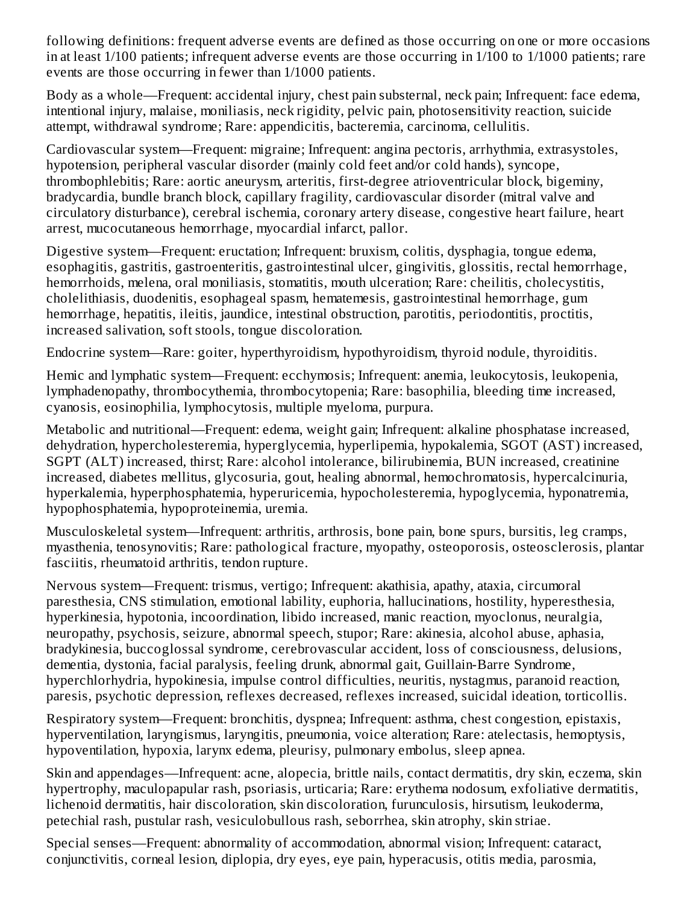following definitions: frequent adverse events are defined as those occurring on one or more occasions in at least 1/100 patients; infrequent adverse events are those occurring in 1/100 to 1/1000 patients; rare events are those occurring in fewer than 1/1000 patients.

Body as a whole—Frequent: accidental injury, chest pain substernal, neck pain; Infrequent: face edema, intentional injury, malaise, moniliasis, neck rigidity, pelvic pain, photosensitivity reaction, suicide attempt, withdrawal syndrome; Rare: appendicitis, bacteremia, carcinoma, cellulitis.

Cardiovascular system—Frequent: migraine; Infrequent: angina pectoris, arrhythmia, extrasystoles, hypotension, peripheral vascular disorder (mainly cold feet and/or cold hands), syncope, thrombophlebitis; Rare: aortic aneurysm, arteritis, first-degree atrioventricular block, bigeminy, bradycardia, bundle branch block, capillary fragility, cardiovascular disorder (mitral valve and circulatory disturbance), cerebral ischemia, coronary artery disease, congestive heart failure, heart arrest, mucocutaneous hemorrhage, myocardial infarct, pallor.

Digestive system—Frequent: eructation; Infrequent: bruxism, colitis, dysphagia, tongue edema, esophagitis, gastritis, gastroenteritis, gastrointestinal ulcer, gingivitis, glossitis, rectal hemorrhage, hemorrhoids, melena, oral moniliasis, stomatitis, mouth ulceration; Rare: cheilitis, cholecystitis, cholelithiasis, duodenitis, esophageal spasm, hematemesis, gastrointestinal hemorrhage, gum hemorrhage, hepatitis, ileitis, jaundice, intestinal obstruction, parotitis, periodontitis, proctitis, increased salivation, soft stools, tongue discoloration.

Endocrine system—Rare: goiter, hyperthyroidism, hypothyroidism, thyroid nodule, thyroiditis.

Hemic and lymphatic system—Frequent: ecchymosis; Infrequent: anemia, leukocytosis, leukopenia, lymphadenopathy, thrombocythemia, thrombocytopenia; Rare: basophilia, bleeding time increased, cyanosis, eosinophilia, lymphocytosis, multiple myeloma, purpura.

Metabolic and nutritional—Frequent: edema, weight gain; Infrequent: alkaline phosphatase increased, dehydration, hypercholesteremia, hyperglycemia, hyperlipemia, hypokalemia, SGOT (AST) increased, SGPT (ALT) increased, thirst; Rare: alcohol intolerance, bilirubinemia, BUN increased, creatinine increased, diabetes mellitus, glycosuria, gout, healing abnormal, hemochromatosis, hypercalcinuria, hyperkalemia, hyperphosphatemia, hyperuricemia, hypocholesteremia, hypoglycemia, hyponatremia, hypophosphatemia, hypoproteinemia, uremia.

Musculoskeletal system—Infrequent: arthritis, arthrosis, bone pain, bone spurs, bursitis, leg cramps, myasthenia, tenosynovitis; Rare: pathological fracture, myopathy, osteoporosis, osteosclerosis, plantar fasciitis, rheumatoid arthritis, tendon rupture.

Nervous system—Frequent: trismus, vertigo; Infrequent: akathisia, apathy, ataxia, circumoral paresthesia, CNS stimulation, emotional lability, euphoria, hallucinations, hostility, hyperesthesia, hyperkinesia, hypotonia, incoordination, libido increased, manic reaction, myoclonus, neuralgia, neuropathy, psychosis, seizure, abnormal speech, stupor; Rare: akinesia, alcohol abuse, aphasia, bradykinesia, buccoglossal syndrome, cerebrovascular accident, loss of consciousness, delusions, dementia, dystonia, facial paralysis, feeling drunk, abnormal gait, Guillain-Barre Syndrome, hyperchlorhydria, hypokinesia, impulse control difficulties, neuritis, nystagmus, paranoid reaction, paresis, psychotic depression, reflexes decreased, reflexes increased, suicidal ideation, torticollis.

Respiratory system—Frequent: bronchitis, dyspnea; Infrequent: asthma, chest congestion, epistaxis, hyperventilation, laryngismus, laryngitis, pneumonia, voice alteration; Rare: atelectasis, hemoptysis, hypoventilation, hypoxia, larynx edema, pleurisy, pulmonary embolus, sleep apnea.

Skin and appendages—Infrequent: acne, alopecia, brittle nails, contact dermatitis, dry skin, eczema, skin hypertrophy, maculopapular rash, psoriasis, urticaria; Rare: erythema nodosum, exfoliative dermatitis, lichenoid dermatitis, hair discoloration, skin discoloration, furunculosis, hirsutism, leukoderma, petechial rash, pustular rash, vesiculobullous rash, seborrhea, skin atrophy, skin striae.

Special senses—Frequent: abnormality of accommodation, abnormal vision; Infrequent: cataract, conjunctivitis, corneal lesion, diplopia, dry eyes, eye pain, hyperacusis, otitis media, parosmia,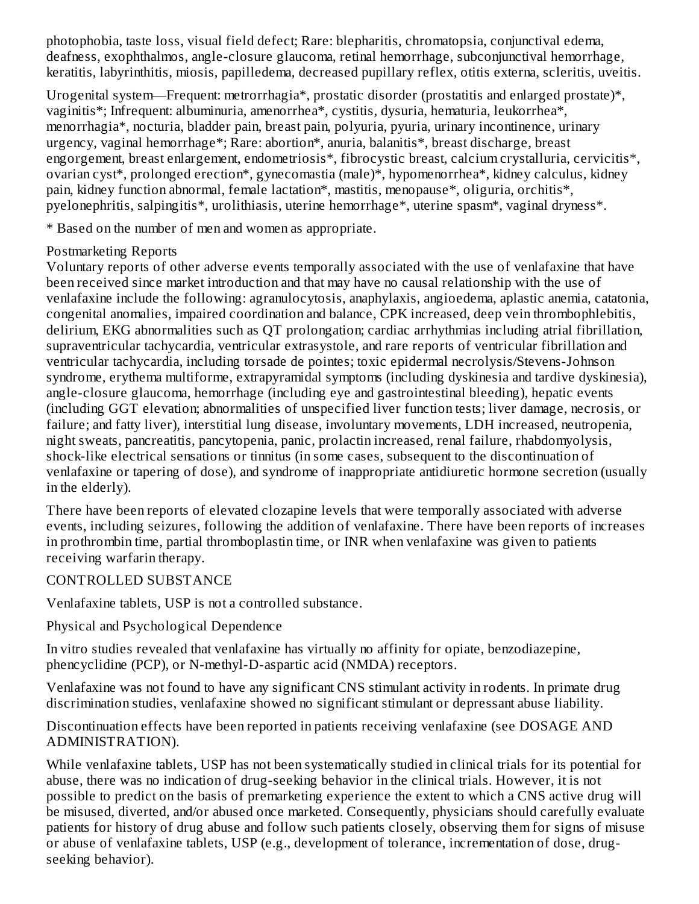photophobia, taste loss, visual field defect; Rare: blepharitis, chromatopsia, conjunctival edema, deafness, exophthalmos, angle-closure glaucoma, retinal hemorrhage, subconjunctival hemorrhage, keratitis, labyrinthitis, miosis, papilledema, decreased pupillary reflex, otitis externa, scleritis, uveitis.

Urogenital system—Frequent: metrorrhagia\*, prostatic disorder (prostatitis and enlarged prostate)\*, vaginitis\*; Infrequent: albuminuria, amenorrhea\*, cystitis, dysuria, hematuria, leukorrhea\*, menorrhagia\*, nocturia, bladder pain, breast pain, polyuria, pyuria, urinary incontinence, urinary urgency, vaginal hemorrhage\*; Rare: abortion\*, anuria, balanitis\*, breast discharge, breast engorgement, breast enlargement, endometriosis\*, fibrocystic breast, calcium crystalluria, cervicitis\*, ovarian cyst\*, prolonged erection\*, gynecomastia (male)\*, hypomenorrhea\*, kidney calculus, kidney pain, kidney function abnormal, female lactation\*, mastitis, menopause\*, oliguria, orchitis\*, pyelonephritis, salpingitis\*, urolithiasis, uterine hemorrhage\*, uterine spasm\*, vaginal dryness\*.

\* Based on the number of men and women as appropriate.

## Postmarketing Reports

Voluntary reports of other adverse events temporally associated with the use of venlafaxine that have been received since market introduction and that may have no causal relationship with the use of venlafaxine include the following: agranulocytosis, anaphylaxis, angioedema, aplastic anemia, catatonia, congenital anomalies, impaired coordination and balance, CPK increased, deep vein thrombophlebitis, delirium, EKG abnormalities such as QT prolongation; cardiac arrhythmias including atrial fibrillation, supraventricular tachycardia, ventricular extrasystole, and rare reports of ventricular fibrillation and ventricular tachycardia, including torsade de pointes; toxic epidermal necrolysis/Stevens-Johnson syndrome, erythema multiforme, extrapyramidal symptoms (including dyskinesia and tardive dyskinesia), angle-closure glaucoma, hemorrhage (including eye and gastrointestinal bleeding), hepatic events (including GGT elevation; abnormalities of unspecified liver function tests; liver damage, necrosis, or failure; and fatty liver), interstitial lung disease, involuntary movements, LDH increased, neutropenia, night sweats, pancreatitis, pancytopenia, panic, prolactin increased, renal failure, rhabdomyolysis, shock-like electrical sensations or tinnitus (in some cases, subsequent to the discontinuation of venlafaxine or tapering of dose), and syndrome of inappropriate antidiuretic hormone secretion (usually in the elderly).

There have been reports of elevated clozapine levels that were temporally associated with adverse events, including seizures, following the addition of venlafaxine. There have been reports of increases in prothrombin time, partial thromboplastin time, or INR when venlafaxine was given to patients receiving warfarin therapy.

## CONTROLLED SUBSTANCE

Venlafaxine tablets, USP is not a controlled substance.

Physical and Psychological Dependence

In vitro studies revealed that venlafaxine has virtually no affinity for opiate, benzodiazepine, phencyclidine (PCP), or N-methyl-D-aspartic acid (NMDA) receptors.

Venlafaxine was not found to have any significant CNS stimulant activity in rodents. In primate drug discrimination studies, venlafaxine showed no significant stimulant or depressant abuse liability.

Discontinuation effects have been reported in patients receiving venlafaxine (see DOSAGE AND ADMINISTRATION).

While venlafaxine tablets, USP has not been systematically studied in clinical trials for its potential for abuse, there was no indication of drug-seeking behavior in the clinical trials. However, it is not possible to predict on the basis of premarketing experience the extent to which a CNS active drug will be misused, diverted, and/or abused once marketed. Consequently, physicians should carefully evaluate patients for history of drug abuse and follow such patients closely, observing them for signs of misuse or abuse of venlafaxine tablets, USP (e.g., development of tolerance, incrementation of dose, drugseeking behavior).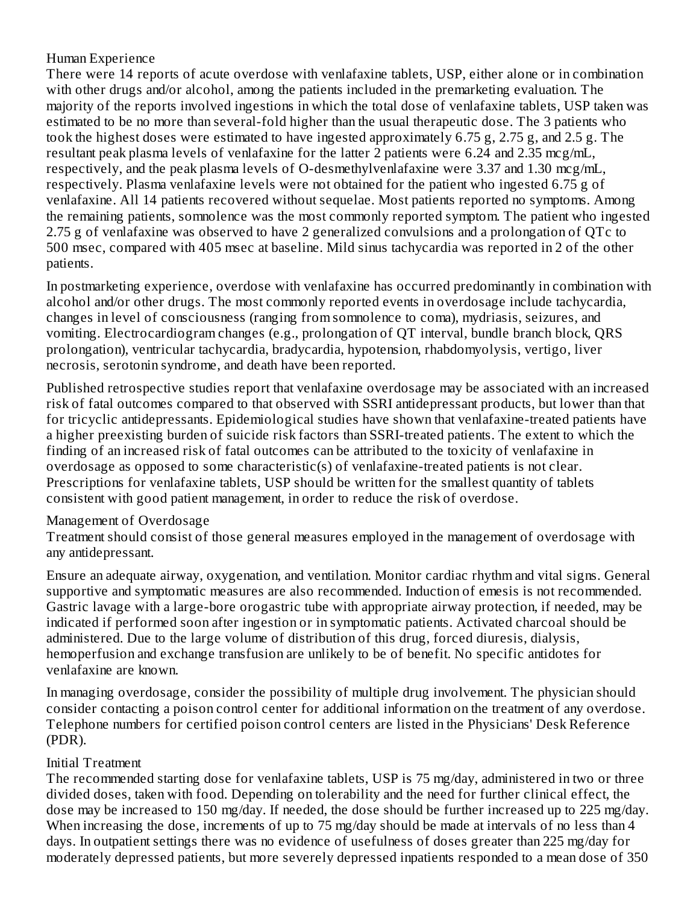#### Human Experience

There were 14 reports of acute overdose with venlafaxine tablets, USP, either alone or in combination with other drugs and/or alcohol, among the patients included in the premarketing evaluation. The majority of the reports involved ingestions in which the total dose of venlafaxine tablets, USP taken was estimated to be no more than several-fold higher than the usual therapeutic dose. The 3 patients who took the highest doses were estimated to have ingested approximately 6.75 g, 2.75 g, and 2.5 g. The resultant peak plasma levels of venlafaxine for the latter 2 patients were 6.24 and 2.35 mcg/mL, respectively, and the peak plasma levels of O-desmethylvenlafaxine were 3.37 and 1.30 mcg/mL, respectively. Plasma venlafaxine levels were not obtained for the patient who ingested 6.75 g of venlafaxine. All 14 patients recovered without sequelae. Most patients reported no symptoms. Among the remaining patients, somnolence was the most commonly reported symptom. The patient who ingested 2.75 g of venlafaxine was observed to have 2 generalized convulsions and a prolongation of QTc to 500 msec, compared with 405 msec at baseline. Mild sinus tachycardia was reported in 2 of the other patients.

In postmarketing experience, overdose with venlafaxine has occurred predominantly in combination with alcohol and/or other drugs. The most commonly reported events in overdosage include tachycardia, changes in level of consciousness (ranging from somnolence to coma), mydriasis, seizures, and vomiting. Electrocardiogram changes (e.g., prolongation of QT interval, bundle branch block, QRS prolongation), ventricular tachycardia, bradycardia, hypotension, rhabdomyolysis, vertigo, liver necrosis, serotonin syndrome, and death have been reported.

Published retrospective studies report that venlafaxine overdosage may be associated with an increased risk of fatal outcomes compared to that observed with SSRI antidepressant products, but lower than that for tricyclic antidepressants. Epidemiological studies have shown that venlafaxine-treated patients have a higher preexisting burden of suicide risk factors than SSRI-treated patients. The extent to which the finding of an increased risk of fatal outcomes can be attributed to the toxicity of venlafaxine in overdosage as opposed to some characteristic(s) of venlafaxine-treated patients is not clear. Prescriptions for venlafaxine tablets, USP should be written for the smallest quantity of tablets consistent with good patient management, in order to reduce the risk of overdose.

#### Management of Overdosage

Treatment should consist of those general measures employed in the management of overdosage with any antidepressant.

Ensure an adequate airway, oxygenation, and ventilation. Monitor cardiac rhythm and vital signs. General supportive and symptomatic measures are also recommended. Induction of emesis is not recommended. Gastric lavage with a large-bore orogastric tube with appropriate airway protection, if needed, may be indicated if performed soon after ingestion or in symptomatic patients. Activated charcoal should be administered. Due to the large volume of distribution of this drug, forced diuresis, dialysis, hemoperfusion and exchange transfusion are unlikely to be of benefit. No specific antidotes for venlafaxine are known.

In managing overdosage, consider the possibility of multiple drug involvement. The physician should consider contacting a poison control center for additional information on the treatment of any overdose. Telephone numbers for certified poison control centers are listed in the Physicians' Desk Reference (PDR).

## Initial Treatment

The recommended starting dose for venlafaxine tablets, USP is 75 mg/day, administered in two or three divided doses, taken with food. Depending on tolerability and the need for further clinical effect, the dose may be increased to 150 mg/day. If needed, the dose should be further increased up to 225 mg/day. When increasing the dose, increments of up to 75 mg/day should be made at intervals of no less than 4 days. In outpatient settings there was no evidence of usefulness of doses greater than 225 mg/day for moderately depressed patients, but more severely depressed inpatients responded to a mean dose of 350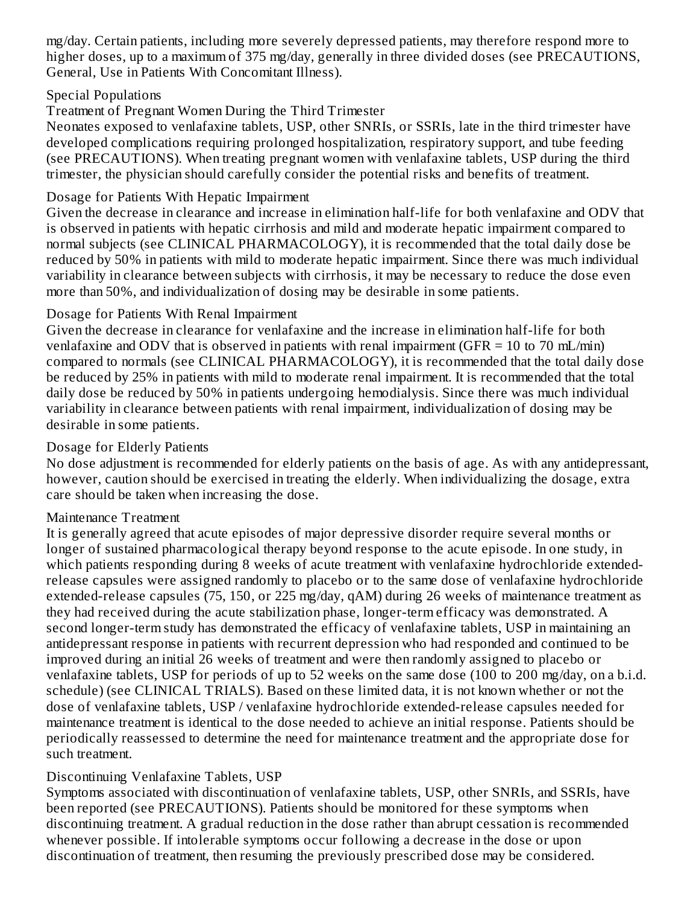mg/day. Certain patients, including more severely depressed patients, may therefore respond more to higher doses, up to a maximum of 375 mg/day, generally in three divided doses (see PRECAUTIONS, General, Use in Patients With Concomitant Illness).

#### Special Populations

## Treatment of Pregnant Women During the Third Trimester

Neonates exposed to venlafaxine tablets, USP, other SNRIs, or SSRIs, late in the third trimester have developed complications requiring prolonged hospitalization, respiratory support, and tube feeding (see PRECAUTIONS). When treating pregnant women with venlafaxine tablets, USP during the third trimester, the physician should carefully consider the potential risks and benefits of treatment.

#### Dosage for Patients With Hepatic Impairment

Given the decrease in clearance and increase in elimination half-life for both venlafaxine and ODV that is observed in patients with hepatic cirrhosis and mild and moderate hepatic impairment compared to normal subjects (see CLINICAL PHARMACOLOGY), it is recommended that the total daily dose be reduced by 50% in patients with mild to moderate hepatic impairment. Since there was much individual variability in clearance between subjects with cirrhosis, it may be necessary to reduce the dose even more than 50%, and individualization of dosing may be desirable in some patients.

#### Dosage for Patients With Renal Impairment

Given the decrease in clearance for venlafaxine and the increase in elimination half-life for both venlafaxine and ODV that is observed in patients with renal impairment (GFR = 10 to 70 mL/min) compared to normals (see CLINICAL PHARMACOLOGY), it is recommended that the total daily dose be reduced by 25% in patients with mild to moderate renal impairment. It is recommended that the total daily dose be reduced by 50% in patients undergoing hemodialysis. Since there was much individual variability in clearance between patients with renal impairment, individualization of dosing may be desirable in some patients.

#### Dosage for Elderly Patients

No dose adjustment is recommended for elderly patients on the basis of age. As with any antidepressant, however, caution should be exercised in treating the elderly. When individualizing the dosage, extra care should be taken when increasing the dose.

#### Maintenance Treatment

It is generally agreed that acute episodes of major depressive disorder require several months or longer of sustained pharmacological therapy beyond response to the acute episode. In one study, in which patients responding during 8 weeks of acute treatment with venlafaxine hydrochloride extendedrelease capsules were assigned randomly to placebo or to the same dose of venlafaxine hydrochloride extended-release capsules (75, 150, or 225 mg/day, qAM) during 26 weeks of maintenance treatment as they had received during the acute stabilization phase, longer-term efficacy was demonstrated. A second longer-term study has demonstrated the efficacy of venlafaxine tablets, USP in maintaining an antidepressant response in patients with recurrent depression who had responded and continued to be improved during an initial 26 weeks of treatment and were then randomly assigned to placebo or venlafaxine tablets, USP for periods of up to 52 weeks on the same dose (100 to 200 mg/day, on a b.i.d. schedule) (see CLINICAL TRIALS). Based on these limited data, it is not known whether or not the dose of venlafaxine tablets, USP / venlafaxine hydrochloride extended-release capsules needed for maintenance treatment is identical to the dose needed to achieve an initial response. Patients should be periodically reassessed to determine the need for maintenance treatment and the appropriate dose for such treatment.

#### Discontinuing Venlafaxine Tablets, USP

Symptoms associated with discontinuation of venlafaxine tablets, USP, other SNRIs, and SSRIs, have been reported (see PRECAUTIONS). Patients should be monitored for these symptoms when discontinuing treatment. A gradual reduction in the dose rather than abrupt cessation is recommended whenever possible. If intolerable symptoms occur following a decrease in the dose or upon discontinuation of treatment, then resuming the previously prescribed dose may be considered.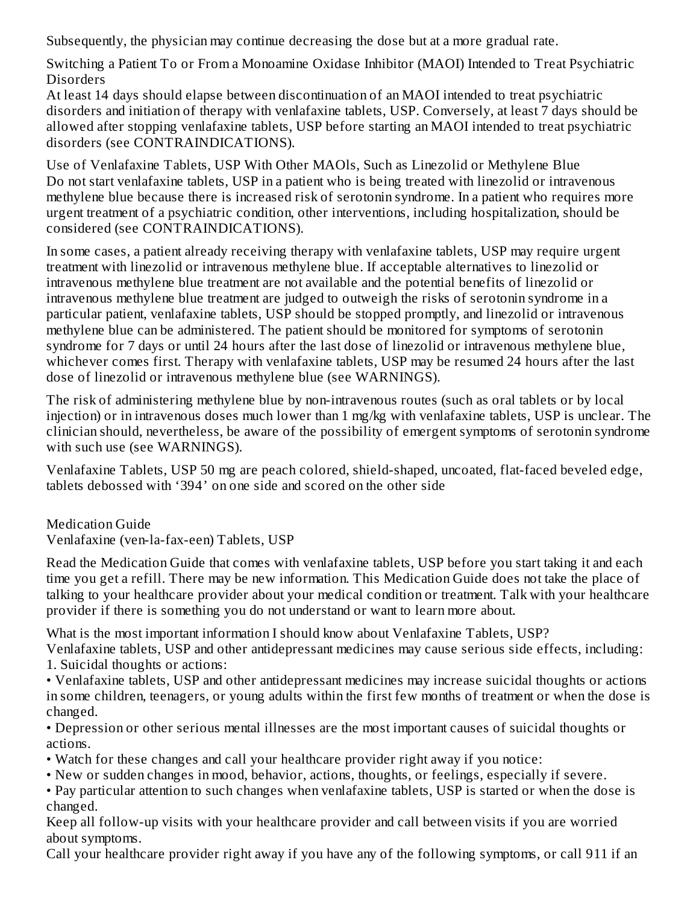Subsequently, the physician may continue decreasing the dose but at a more gradual rate.

Switching a Patient To or From a Monoamine Oxidase Inhibitor (MAOI) Intended to Treat Psychiatric Disorders

At least 14 days should elapse between discontinuation of an MAOI intended to treat psychiatric disorders and initiation of therapy with venlafaxine tablets, USP. Conversely, at least 7 days should be allowed after stopping venlafaxine tablets, USP before starting an MAOI intended to treat psychiatric disorders (see CONTRAINDICATIONS).

Use of Venlafaxine Tablets, USP With Other MAOls, Such as Linezolid or Methylene Blue Do not start venlafaxine tablets, USP in a patient who is being treated with linezolid or intravenous methylene blue because there is increased risk of serotonin syndrome. In a patient who requires more urgent treatment of a psychiatric condition, other interventions, including hospitalization, should be considered (see CONTRAINDICATIONS).

In some cases, a patient already receiving therapy with venlafaxine tablets, USP may require urgent treatment with linezolid or intravenous methylene blue. If acceptable alternatives to linezolid or intravenous methylene blue treatment are not available and the potential benefits of linezolid or intravenous methylene blue treatment are judged to outweigh the risks of serotonin syndrome in a particular patient, venlafaxine tablets, USP should be stopped promptly, and linezolid or intravenous methylene blue can be administered. The patient should be monitored for symptoms of serotonin syndrome for 7 days or until 24 hours after the last dose of linezolid or intravenous methylene blue, whichever comes first. Therapy with venlafaxine tablets, USP may be resumed 24 hours after the last dose of linezolid or intravenous methylene blue (see WARNINGS).

The risk of administering methylene blue by non-intravenous routes (such as oral tablets or by local injection) or in intravenous doses much lower than 1 mg/kg with venlafaxine tablets, USP is unclear. The clinician should, nevertheless, be aware of the possibility of emergent symptoms of serotonin syndrome with such use (see WARNINGS).

Venlafaxine Tablets, USP 50 mg are peach colored, shield-shaped, uncoated, flat-faced beveled edge, tablets debossed with '394' on one side and scored on the other side

Medication Guide Venlafaxine (ven-la-fax-een) Tablets, USP

Read the Medication Guide that comes with venlafaxine tablets, USP before you start taking it and each time you get a refill. There may be new information. This Medication Guide does not take the place of talking to your healthcare provider about your medical condition or treatment. Talk with your healthcare provider if there is something you do not understand or want to learn more about.

What is the most important information I should know about Venlafaxine Tablets, USP? Venlafaxine tablets, USP and other antidepressant medicines may cause serious side effects, including:

1. Suicidal thoughts or actions:

• Venlafaxine tablets, USP and other antidepressant medicines may increase suicidal thoughts or actions in some children, teenagers, or young adults within the first few months of treatment or when the dose is changed.

• Depression or other serious mental illnesses are the most important causes of suicidal thoughts or actions.

• Watch for these changes and call your healthcare provider right away if you notice:

• New or sudden changes in mood, behavior, actions, thoughts, or feelings, especially if severe.

• Pay particular attention to such changes when venlafaxine tablets, USP is started or when the dose is changed.

Keep all follow-up visits with your healthcare provider and call between visits if you are worried about symptoms.

Call your healthcare provider right away if you have any of the following symptoms, or call 911 if an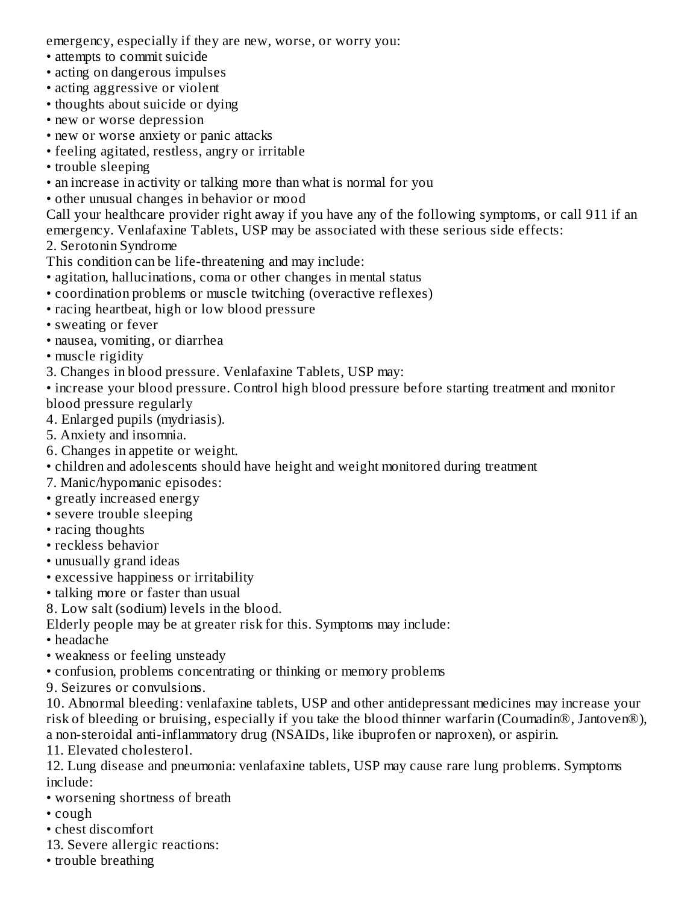emergency, especially if they are new, worse, or worry you:

- attempts to commit suicide
- acting on dangerous impulses
- acting aggressive or violent
- thoughts about suicide or dying
- new or worse depression
- new or worse anxiety or panic attacks
- feeling agitated, restless, angry or irritable
- trouble sleeping
- an increase in activity or talking more than what is normal for you
- other unusual changes in behavior or mood

Call your healthcare provider right away if you have any of the following symptoms, or call 911 if an emergency. Venlafaxine Tablets, USP may be associated with these serious side effects:

2. Serotonin Syndrome

- This condition can be life-threatening and may include:
- agitation, hallucinations, coma or other changes in mental status
- coordination problems or muscle twitching (overactive reflexes)
- racing heartbeat, high or low blood pressure
- sweating or fever
- nausea, vomiting, or diarrhea
- muscle rigidity
- 3. Changes in blood pressure. Venlafaxine Tablets, USP may:

• increase your blood pressure. Control high blood pressure before starting treatment and monitor blood pressure regularly

- 4. Enlarged pupils (mydriasis).
- 5. Anxiety and insomnia.
- 6. Changes in appetite or weight.
- children and adolescents should have height and weight monitored during treatment
- 7. Manic/hypomanic episodes:
- greatly increased energy
- severe trouble sleeping
- racing thoughts
- reckless behavior
- unusually grand ideas
- excessive happiness or irritability
- talking more or faster than usual
- 8. Low salt (sodium) levels in the blood.

Elderly people may be at greater risk for this. Symptoms may include:

- headache
- weakness or feeling unsteady
- confusion, problems concentrating or thinking or memory problems
- 9. Seizures or convulsions.

10. Abnormal bleeding: venlafaxine tablets, USP and other antidepressant medicines may increase your risk of bleeding or bruising, especially if you take the blood thinner warfarin (Coumadin®, Jantoven®), a non-steroidal anti-inflammatory drug (NSAIDs, like ibuprofen or naproxen), or aspirin.

11. Elevated cholesterol.

12. Lung disease and pneumonia: venlafaxine tablets, USP may cause rare lung problems. Symptoms include:

- worsening shortness of breath
- cough
- chest discomfort
- 13. Severe allergic reactions:
- trouble breathing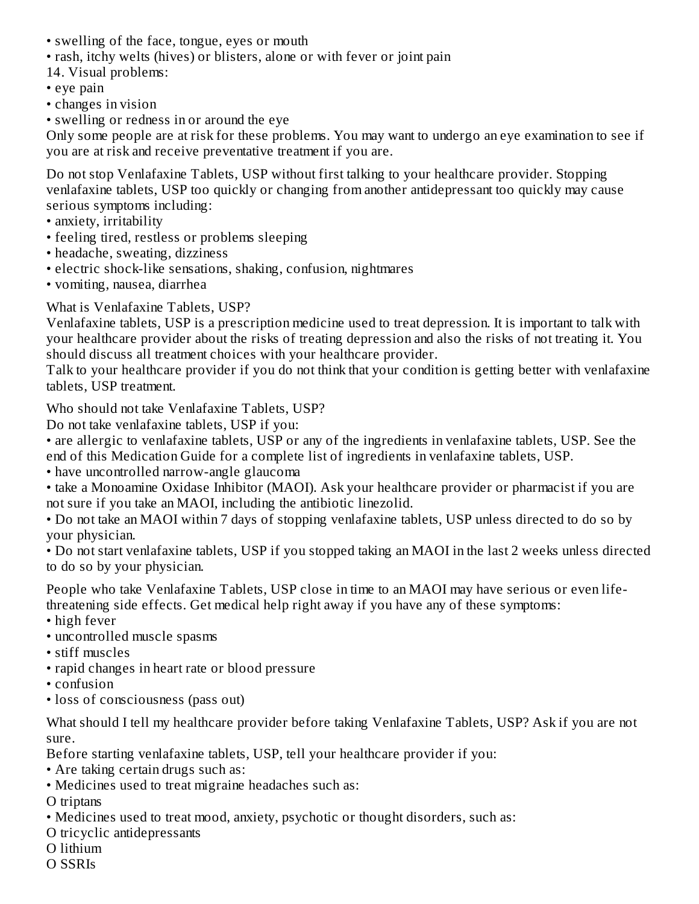- swelling of the face, tongue, eyes or mouth
- rash, itchy welts (hives) or blisters, alone or with fever or joint pain
- 14. Visual problems:
- eye pain
- changes in vision
- swelling or redness in or around the eye

Only some people are at risk for these problems. You may want to undergo an eye examination to see if you are at risk and receive preventative treatment if you are.

Do not stop Venlafaxine Tablets, USP without first talking to your healthcare provider. Stopping venlafaxine tablets, USP too quickly or changing from another antidepressant too quickly may cause serious symptoms including:

- anxiety, irritability
- feeling tired, restless or problems sleeping
- headache, sweating, dizziness
- electric shock-like sensations, shaking, confusion, nightmares
- vomiting, nausea, diarrhea

What is Venlafaxine Tablets, USP?

Venlafaxine tablets, USP is a prescription medicine used to treat depression. It is important to talk with your healthcare provider about the risks of treating depression and also the risks of not treating it. You should discuss all treatment choices with your healthcare provider.

Talk to your healthcare provider if you do not think that your condition is getting better with venlafaxine tablets, USP treatment.

Who should not take Venlafaxine Tablets, USP?

Do not take venlafaxine tablets, USP if you:

• are allergic to venlafaxine tablets, USP or any of the ingredients in venlafaxine tablets, USP. See the end of this Medication Guide for a complete list of ingredients in venlafaxine tablets, USP.

• have uncontrolled narrow-angle glaucoma

• take a Monoamine Oxidase Inhibitor (MAOI). Ask your healthcare provider or pharmacist if you are not sure if you take an MAOI, including the antibiotic linezolid.

• Do not take an MAOI within 7 days of stopping venlafaxine tablets, USP unless directed to do so by your physician.

• Do not start venlafaxine tablets, USP if you stopped taking an MAOI in the last 2 weeks unless directed to do so by your physician.

People who take Venlafaxine Tablets, USP close in time to an MAOI may have serious or even lifethreatening side effects. Get medical help right away if you have any of these symptoms:

• high fever

• uncontrolled muscle spasms

- stiff muscles
- rapid changes in heart rate or blood pressure
- confusion
- loss of consciousness (pass out)

What should I tell my healthcare provider before taking Venlafaxine Tablets, USP? Ask if you are not sure.

Before starting venlafaxine tablets, USP, tell your healthcare provider if you:

- Are taking certain drugs such as:
- Medicines used to treat migraine headaches such as:

O triptans

• Medicines used to treat mood, anxiety, psychotic or thought disorders, such as:

- O tricyclic antidepressants
- O lithium
- O SSRIs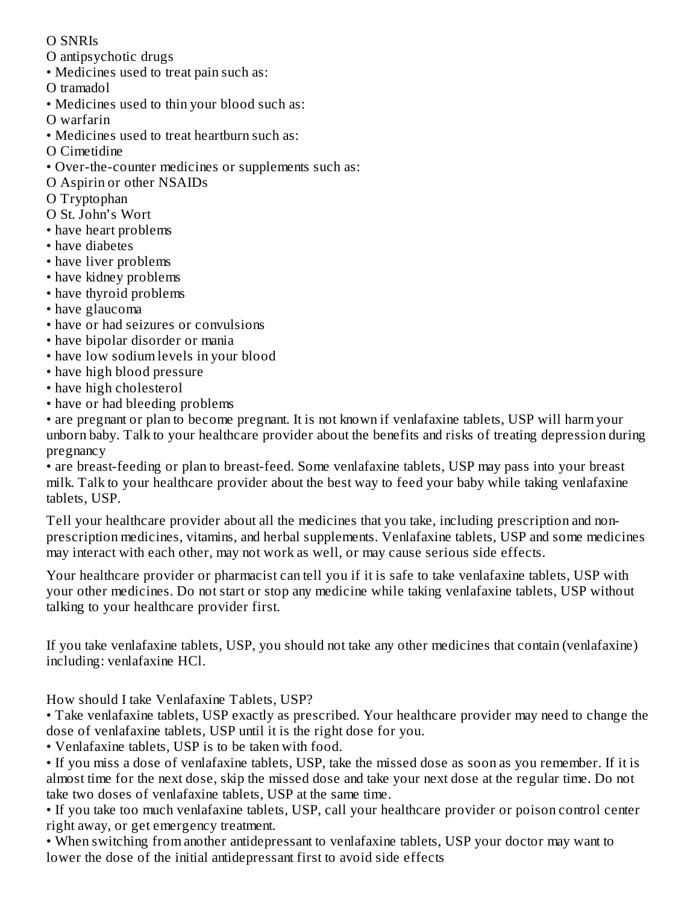# O SNRIs

O antipsychotic drugs

• Medicines used to treat pain such as:

O tramadol

• Medicines used to thin your blood such as:

O warfarin

- Medicines used to treat heartburn such as:
- O Cimetidine
- Over-the-counter medicines or supplements such as:
- O Aspirin or other NSAIDs

O Tryptophan

- O St. John's Wort
- have heart problems
- have diabetes
- have liver problems
- have kidney problems
- have thyroid problems
- have glaucoma
- have or had seizures or convulsions
- have bipolar disorder or mania
- have low sodium levels in your blood
- have high blood pressure
- have high cholesterol
- have or had bleeding problems

• are pregnant or plan to become pregnant. It is not known if venlafaxine tablets, USP will harm your unborn baby. Talk to your healthcare provider about the benefits and risks of treating depression during pregnancy

• are breast-feeding or plan to breast-feed. Some venlafaxine tablets, USP may pass into your breast milk. Talk to your healthcare provider about the best way to feed your baby while taking venlafaxine tablets, USP.

Tell your healthcare provider about all the medicines that you take, including prescription and nonprescription medicines, vitamins, and herbal supplements. Venlafaxine tablets, USP and some medicines may interact with each other, may not work as well, or may cause serious side effects.

Your healthcare provider or pharmacist can tell you if it is safe to take venlafaxine tablets, USP with your other medicines. Do not start or stop any medicine while taking venlafaxine tablets, USP without talking to your healthcare provider first.

If you take venlafaxine tablets, USP, you should not take any other medicines that contain (venlafaxine) including: venlafaxine HCl.

How should I take Venlafaxine Tablets, USP?

• Take venlafaxine tablets, USP exactly as prescribed. Your healthcare provider may need to change the dose of venlafaxine tablets, USP until it is the right dose for you.

• Venlafaxine tablets, USP is to be taken with food.

• If you miss a dose of venlafaxine tablets, USP, take the missed dose as soon as you remember. If it is almost time for the next dose, skip the missed dose and take your next dose at the regular time. Do not take two doses of venlafaxine tablets, USP at the same time.

• If you take too much venlafaxine tablets, USP, call your healthcare provider or poison control center right away, or get emergency treatment.

• When switching from another antidepressant to venlafaxine tablets, USP your doctor may want to lower the dose of the initial antidepressant first to avoid side effects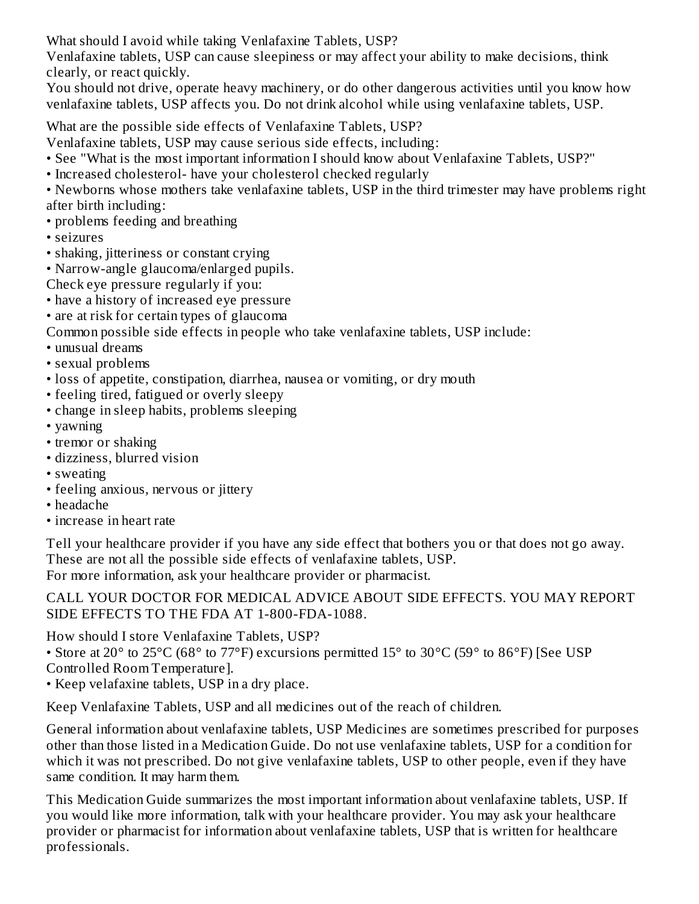What should I avoid while taking Venlafaxine Tablets, USP?

Venlafaxine tablets, USP can cause sleepiness or may affect your ability to make decisions, think clearly, or react quickly.

You should not drive, operate heavy machinery, or do other dangerous activities until you know how venlafaxine tablets, USP affects you. Do not drink alcohol while using venlafaxine tablets, USP.

What are the possible side effects of Venlafaxine Tablets, USP?

Venlafaxine tablets, USP may cause serious side effects, including:

- See "What is the most important information I should know about Venlafaxine Tablets, USP?"
- Increased cholesterol- have your cholesterol checked regularly

• Newborns whose mothers take venlafaxine tablets, USP in the third trimester may have problems right after birth including:

- problems feeding and breathing
- seizures
- shaking, jitteriness or constant crying
- Narrow-angle glaucoma/enlarged pupils.

Check eye pressure regularly if you:

- have a history of increased eye pressure
- are at risk for certain types of glaucoma

Common possible side effects in people who take venlafaxine tablets, USP include:

- unusual dreams
- sexual problems
- loss of appetite, constipation, diarrhea, nausea or vomiting, or dry mouth
- feeling tired, fatigued or overly sleepy
- change in sleep habits, problems sleeping
- yawning
- tremor or shaking
- dizziness, blurred vision
- sweating
- feeling anxious, nervous or jittery
- headache
- increase in heart rate

Tell your healthcare provider if you have any side effect that bothers you or that does not go away. These are not all the possible side effects of venlafaxine tablets, USP. For more information, ask your healthcare provider or pharmacist.

CALL YOUR DOCTOR FOR MEDICAL ADVICE ABOUT SIDE EFFECTS. YOU MAY REPORT SIDE EFFECTS TO THE FDA AT 1-800-FDA-1088.

How should I store Venlafaxine Tablets, USP?

• Store at 20 $\degree$  to 25 $\degree$ C (68 $\degree$  to 77 $\degree$ F) excursions permitted 15 $\degree$  to 30 $\degree$ C (59 $\degree$  to 86 $\degree$ F) [See USP Controlled Room Temperature].

• Keep velafaxine tablets, USP in a dry place.

Keep Venlafaxine Tablets, USP and all medicines out of the reach of children.

General information about venlafaxine tablets, USP Medicines are sometimes prescribed for purposes other than those listed in a Medication Guide. Do not use venlafaxine tablets, USP for a condition for which it was not prescribed. Do not give venlafaxine tablets, USP to other people, even if they have same condition. It may harm them.

This Medication Guide summarizes the most important information about venlafaxine tablets, USP. If you would like more information, talk with your healthcare provider. You may ask your healthcare provider or pharmacist for information about venlafaxine tablets, USP that is written for healthcare professionals.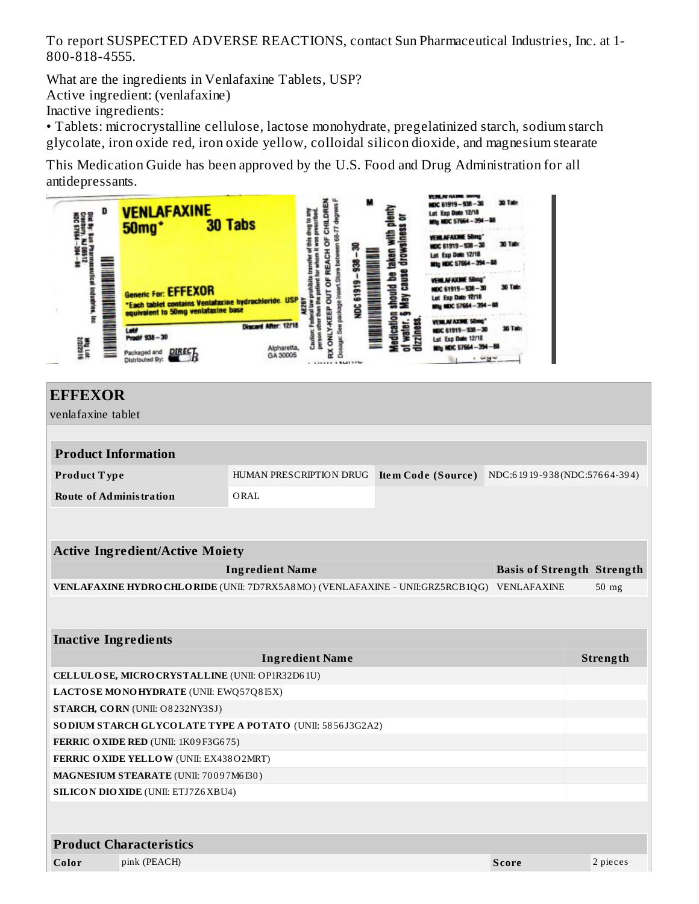To report SUSPECTED ADVERSE REACTIONS, contact Sun Pharmaceutical Industries, Inc. at 1- 800-818-4555.

What are the ingredients in Venlafaxine Tablets, USP?

**SODIUM STARCH GLYCOLATE TYPE A POTATO** (UNII: 58 56 J3G2A2)

**FERRIC OXIDE RED** (UNII: 1K0 9 F3G6 75)

**FERRIC OXIDE YELLOW** (UNII: EX438O2MRT) **MAGNESIUM STEARATE** (UNII: 70 0 9 7M6 I30 ) **SILICON DIOXIDE** (UNII: ETJ7Z6XBU4)

Active ingredient: (venlafaxine)

Inactive ingredients:

• Tablets: microcrystalline cellulose, lactose monohydrate, pregelatinized starch, sodium starch glycolate, iron oxide red, iron oxide yellow, colloidal silicon dioxide, and magnesium stearate

This Medication Guide has been approved by the U.S. Food and Drug Administration for all antidepressants.

| <b>VENLAFAXINE</b><br>D<br>DIAI DIF. SUIL I<br>Cranbury, NJ<br>NDC 57664 ---<br>$50mg$ <sup>*</sup><br>Generic For: EFFEXOR<br>*Each tablet contains Ventataxine hydrochloride. USP<br>equivalent to 50mg ventataxine base<br>Lett<br>Prod# 938 - 30<br>Packaged and <b>DIREC</b><br>Distributed By: | 30 Tabs<br>Discard After: 12/18<br>Aloharetta,<br>GA 30005 | CHILDREN<br>of this drug to<br>en 68-77<br>ONLY-KEEP OUT OF REACH OF<br>HDC 61919-<br>See package<br>Dosage:<br>ž<br><b>A BEATTEN</b><br>1.411111 | cause drowsines<br>taken wi<br>should be<br><b>Bolcation</b><br>water. | NDC 61919-938-30<br>Lot Exp Date 12/18<br><b>OC 61919-538-30</b><br>Lot Exp Date 12/18<br>Mitg NDC 57664 - 394 - 8<br><b>VENLAFAXINE SOmg</b><br>NDC 61919-938-30<br>Lot Exp Date 12/18<br>Mitg MDC 57664-394<br><b>FAXINE SOME</b><br>EDC 61919 - 938 - 30<br>Lot Exp Date 12/18<br>Mtp NDC 57664-354<br>. www | 30 Tabr<br>30 Tab<br>30 Tab:                     |          |
|------------------------------------------------------------------------------------------------------------------------------------------------------------------------------------------------------------------------------------------------------------------------------------------------------|------------------------------------------------------------|---------------------------------------------------------------------------------------------------------------------------------------------------|------------------------------------------------------------------------|-----------------------------------------------------------------------------------------------------------------------------------------------------------------------------------------------------------------------------------------------------------------------------------------------------------------|--------------------------------------------------|----------|
| <b>EFFEXOR</b>                                                                                                                                                                                                                                                                                       |                                                            |                                                                                                                                                   |                                                                        |                                                                                                                                                                                                                                                                                                                 |                                                  |          |
| venlafaxine tablet                                                                                                                                                                                                                                                                                   |                                                            |                                                                                                                                                   |                                                                        |                                                                                                                                                                                                                                                                                                                 |                                                  |          |
|                                                                                                                                                                                                                                                                                                      |                                                            |                                                                                                                                                   |                                                                        |                                                                                                                                                                                                                                                                                                                 |                                                  |          |
| <b>Product Information</b>                                                                                                                                                                                                                                                                           |                                                            |                                                                                                                                                   |                                                                        |                                                                                                                                                                                                                                                                                                                 |                                                  |          |
| Product Type                                                                                                                                                                                                                                                                                         | HUMAN PRESCRIPTION DRUG                                    |                                                                                                                                                   |                                                                        |                                                                                                                                                                                                                                                                                                                 | Item Code (Source) NDC:61919-938 (NDC:57664-394) |          |
| <b>Route of Administration</b>                                                                                                                                                                                                                                                                       | ORAL                                                       |                                                                                                                                                   |                                                                        |                                                                                                                                                                                                                                                                                                                 |                                                  |          |
|                                                                                                                                                                                                                                                                                                      |                                                            |                                                                                                                                                   |                                                                        |                                                                                                                                                                                                                                                                                                                 |                                                  |          |
| <b>Active Ingredient/Active Moiety</b>                                                                                                                                                                                                                                                               |                                                            |                                                                                                                                                   |                                                                        |                                                                                                                                                                                                                                                                                                                 |                                                  |          |
|                                                                                                                                                                                                                                                                                                      | <b>Ingredient Name</b>                                     |                                                                                                                                                   |                                                                        |                                                                                                                                                                                                                                                                                                                 | <b>Basis of Strength Strength</b>                |          |
| VENLAFAXINE HYDRO CHLORIDE (UNII: 7D7RX5A8MO) (VENLAFAXINE - UNII:GRZ5RCB1QG) VENLAFAXINE                                                                                                                                                                                                            |                                                            |                                                                                                                                                   |                                                                        |                                                                                                                                                                                                                                                                                                                 |                                                  | $50$ mg  |
|                                                                                                                                                                                                                                                                                                      |                                                            |                                                                                                                                                   |                                                                        |                                                                                                                                                                                                                                                                                                                 |                                                  |          |
| <b>Inactive Ingredients</b>                                                                                                                                                                                                                                                                          |                                                            |                                                                                                                                                   |                                                                        |                                                                                                                                                                                                                                                                                                                 |                                                  |          |
|                                                                                                                                                                                                                                                                                                      |                                                            | <b>Ingredient Name</b>                                                                                                                            |                                                                        |                                                                                                                                                                                                                                                                                                                 |                                                  | Strength |
| CELLULOSE, MICRO CRYSTALLINE (UNII: OP1R32D61U)                                                                                                                                                                                                                                                      |                                                            |                                                                                                                                                   |                                                                        |                                                                                                                                                                                                                                                                                                                 |                                                  |          |
| LACTOSE MONOHYDRATE (UNII: EWQ57Q8I5X)                                                                                                                                                                                                                                                               |                                                            |                                                                                                                                                   |                                                                        |                                                                                                                                                                                                                                                                                                                 |                                                  |          |
| STARCH, CORN (UNII: O8232NY3SJ)                                                                                                                                                                                                                                                                      |                                                            |                                                                                                                                                   |                                                                        |                                                                                                                                                                                                                                                                                                                 |                                                  |          |

**Product Characteristics Color** pink (PEACH) **Score** 2 pieces